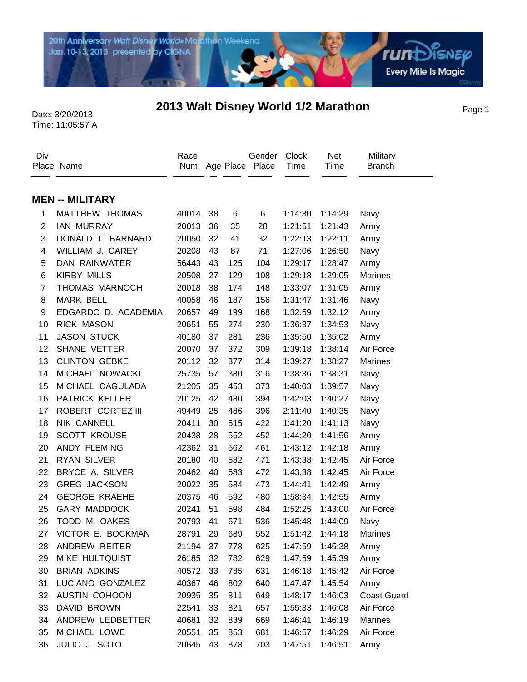

## Page 1 Date: 3/20/2013 **2013 Walt Disney World 1/2 Marathon**

Time: 11:05:57 A

| Div            | Place Name             | Race  |    |     | Gender<br>Num Age Place Place | Clock<br>Time | Net<br>Time | Military<br><b>Branch</b> |
|----------------|------------------------|-------|----|-----|-------------------------------|---------------|-------------|---------------------------|
|                | <b>MEN -- MILITARY</b> |       |    |     |                               |               |             |                           |
| 1              | MATTHEW THOMAS         | 40014 | 38 | 6   | 6                             | 1:14:30       | 1:14:29     | Navy                      |
| $\overline{c}$ | <b>IAN MURRAY</b>      | 20013 | 36 | 35  | 28                            | 1:21:51       | 1:21:43     | Army                      |
| 3              | DONALD T. BARNARD      | 20050 | 32 | 41  | 32                            | 1:22:13       | 1:22:11     | Army                      |
| 4              | WILLIAM J. CAREY       | 20208 | 43 | 87  | 71                            | 1:27:06       | 1:26:50     | Navy                      |
| 5              | DAN RAINWATER          | 56443 | 43 | 125 | 104                           | 1:29:17       | 1:28:47     | Army                      |
| 6              | <b>KIRBY MILLS</b>     | 20508 | 27 | 129 | 108                           | 1:29:18       | 1:29:05     | <b>Marines</b>            |
| $\overline{7}$ | THOMAS MARNOCH         | 20018 | 38 | 174 | 148                           | 1:33:07       | 1:31:05     | Army                      |
| 8              | <b>MARK BELL</b>       | 40058 | 46 | 187 | 156                           | 1:31:47       | 1:31:46     | Navy                      |
| 9              | EDGARDO D. ACADEMIA    | 20657 | 49 | 199 | 168                           | 1:32:59       | 1:32:12     | Army                      |
| 10             | <b>RICK MASON</b>      | 20651 | 55 | 274 | 230                           | 1:36:37       | 1:34:53     | Navy                      |
| 11             | <b>JASON STUCK</b>     | 40180 | 37 | 281 | 236                           | 1:35:50       | 1:35:02     | Army                      |
| 12             | SHANE VETTER           | 20070 | 37 | 372 | 309                           | 1:39:18       | 1:38:14     | Air Force                 |
| 13             | <b>CLINTON GEBKE</b>   | 20112 | 32 | 377 | 314                           | 1:39:27       | 1:38:27     | <b>Marines</b>            |
| 14             | MICHAEL NOWACKI        | 25735 | 57 | 380 | 316                           | 1:38:36       | 1:38:31     | Navy                      |
| 15             | MICHAEL CAGULADA       | 21205 | 35 | 453 | 373                           | 1:40:03       | 1:39:57     | Navy                      |
| 16             | PATRICK KELLER         | 20125 | 42 | 480 | 394                           | 1:42:03       | 1:40:27     | Navy                      |
| 17             | ROBERT CORTEZ III      | 49449 | 25 | 486 | 396                           | 2:11:40       | 1:40:35     | Navy                      |
| 18             | NIK CANNELL            | 20411 | 30 | 515 | 422                           | 1:41:20       | 1:41:13     | Navy                      |
| 19             | <b>SCOTT KROUSE</b>    | 20438 | 28 | 552 | 452                           | 1:44:20       | 1:41:56     | Army                      |
| 20             | ANDY FLEMING           | 42362 | 31 | 562 | 461                           | 1:43:12       | 1:42:18     | Army                      |
| 21             | <b>RYAN SILVER</b>     | 20180 | 40 | 582 | 471                           | 1:43:38       | 1:42:45     | Air Force                 |
| 22             | BRYCE A. SILVER        | 20462 | 40 | 583 | 472                           | 1:43:38       | 1:42:45     | Air Force                 |
| 23             | <b>GREG JACKSON</b>    | 20022 | 35 | 584 | 473                           | 1:44:41       | 1:42:49     | Army                      |
| 24             | <b>GEORGE KRAEHE</b>   | 20375 | 46 | 592 | 480                           | 1:58:34       | 1:42:55     | Army                      |
| 25             | <b>GARY MADDOCK</b>    | 20241 | 51 | 598 | 484                           | 1:52:25       | 1:43:00     | Air Force                 |
| 26             | TODD M. OAKES          | 20793 | 41 | 671 | 536                           | 1:45:48       | 1:44:09     | Navy                      |
| 27             | VICTOR E. BOCKMAN      | 28791 | 29 | 689 | 552                           | 1:51:42       | 1:44:18     | <b>Marines</b>            |
| 28             | ANDREW REITER          | 21194 | 37 | 778 | 625                           | 1:47:59       | 1:45:38     | Army                      |
| 29             | MIKE HULTQUIST         | 26185 | 32 | 782 | 629                           | 1:47:59       | 1:45:39     | Army                      |
| 30             | <b>BRIAN ADKINS</b>    | 40572 | 33 | 785 | 631                           | 1:46:18       | 1:45:42     | Air Force                 |
| 31             | LUCIANO GONZALEZ       | 40367 | 46 | 802 | 640                           | 1:47:47       | 1:45:54     | Army                      |
| 32             | AUSTIN COHOON          | 20935 | 35 | 811 | 649                           | 1:48:17       | 1:46:03     | <b>Coast Guard</b>        |
| 33             | DAVID BROWN            | 22541 | 33 | 821 | 657                           | 1:55:33       | 1:46:08     | Air Force                 |
| 34             | ANDREW LEDBETTER       | 40681 | 32 | 839 | 669                           | 1:46:41       | 1:46:19     | Marines                   |
| 35             | MICHAEL LOWE           | 20551 | 35 | 853 | 681                           | 1:46:57       | 1:46:29     | Air Force                 |
| 36             | JULIO J. SOTO          | 20645 | 43 | 878 | 703                           | 1:47:51       | 1:46:51     | Army                      |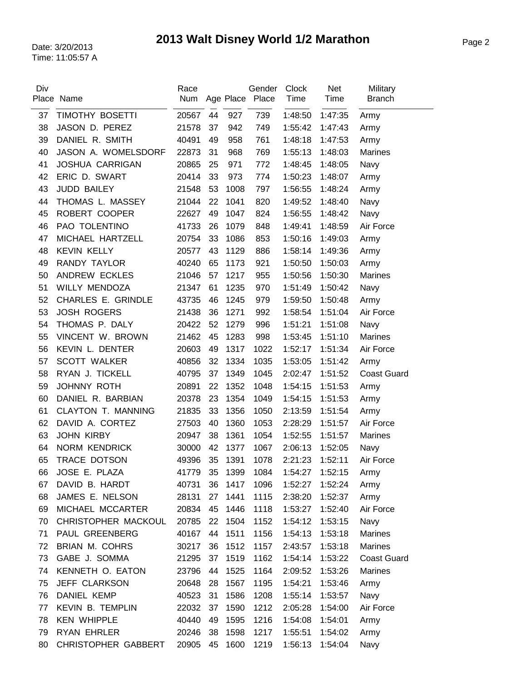| Div | Place Name                | Race<br>Num |    |      | Gender<br>Age Place Place | <b>Clock</b><br>Time | <b>Net</b><br>Time | Military<br><b>Branch</b> |
|-----|---------------------------|-------------|----|------|---------------------------|----------------------|--------------------|---------------------------|
| 37  | TIMOTHY BOSETTI           | 20567       | 44 | 927  | 739                       | 1:48:50              | 1:47:35            | Army                      |
| 38  | JASON D. PEREZ            | 21578       | 37 | 942  | 749                       | 1:55:42              | 1:47:43            | Army                      |
| 39  | DANIEL R. SMITH           | 40491       | 49 | 958  | 761                       | 1:48:18              | 1:47:53            | Army                      |
| 40  | JASON A. WOMELSDORF       | 22873       | 31 | 968  | 769                       | 1:55:13              | 1:48:03            | <b>Marines</b>            |
| 41  | <b>JOSHUA CARRIGAN</b>    | 20865       | 25 | 971  | 772                       | 1:48:45              | 1:48:05            | Navy                      |
| 42  | ERIC D. SWART             | 20414       | 33 | 973  | 774                       | 1:50:23              | 1:48:07            | Army                      |
| 43  | <b>JUDD BAILEY</b>        | 21548       | 53 | 1008 | 797                       | 1:56:55              | 1:48:24            | Army                      |
| 44  | THOMAS L. MASSEY          | 21044       | 22 | 1041 | 820                       | 1:49:52              | 1:48:40            | Navy                      |
| 45  | ROBERT COOPER             | 22627       | 49 | 1047 | 824                       | 1:56:55              | 1:48:42            | Navy                      |
| 46  | PAO TOLENTINO             | 41733       | 26 | 1079 | 848                       | 1:49:41              | 1:48:59            | Air Force                 |
| 47  | MICHAEL HARTZELL          | 20754       | 33 | 1086 | 853                       | 1:50:16              | 1:49:03            | Army                      |
| 48  | <b>KEVIN KELLY</b>        | 20577       | 43 | 1129 | 886                       | 1:58:14              | 1:49:36            | Army                      |
| 49  | RANDY TAYLOR              | 40240       | 65 | 1173 | 921                       | 1:50:50              | 1:50:03            | Army                      |
| 50  | ANDREW ECKLES             | 21046       | 57 | 1217 | 955                       | 1:50:56              | 1:50:30            | <b>Marines</b>            |
| 51  | WILLY MENDOZA             | 21347       | 61 | 1235 | 970                       | 1:51:49              | 1:50:42            | Navy                      |
| 52  | <b>CHARLES E. GRINDLE</b> | 43735       | 46 | 1245 | 979                       | 1:59:50              | 1:50:48            | Army                      |
| 53  | <b>JOSH ROGERS</b>        | 21438       | 36 | 1271 | 992                       | 1:58:54              | 1:51:04            | Air Force                 |
| 54  | THOMAS P. DALY            | 20422       | 52 | 1279 | 996                       | 1:51:21              | 1:51:08            | Navy                      |
| 55  | VINCENT W. BROWN          | 21462       | 45 | 1283 | 998                       | 1:53:45              | 1:51:10            | Marines                   |
| 56  | KEVIN L. DENTER           | 20603       | 49 | 1317 | 1022                      | 1:52:17              | 1:51:34            | Air Force                 |
| 57  | <b>SCOTT WALKER</b>       | 40856       | 32 | 1334 | 1035                      | 1:53:05              | 1:51:42            | Army                      |
| 58  | RYAN J. TICKELL           | 40795       | 37 | 1349 | 1045                      | 2:02:47              | 1:51:52            | <b>Coast Guard</b>        |
| 59  | <b>JOHNNY ROTH</b>        | 20891       | 22 | 1352 | 1048                      | 1:54:15              | 1:51:53            | Army                      |
| 60  | DANIEL R. BARBIAN         | 20378       | 23 | 1354 | 1049                      | 1:54:15              | 1:51:53            | Army                      |
| 61  | CLAYTON T. MANNING        | 21835       | 33 | 1356 | 1050                      | 2:13:59              | 1:51:54            | Army                      |
| 62  | DAVID A. CORTEZ           | 27503       | 40 | 1360 | 1053                      | 2:28:29              | 1:51:57            | Air Force                 |
| 63  | <b>JOHN KIRBY</b>         | 20947       | 38 | 1361 | 1054                      | 1:52:55              | 1:51:57            | Marines                   |
| 64  | <b>NORM KENDRICK</b>      | 30000       | 42 | 1377 | 1067                      | 2:06:13              | 1:52:05            | Navy                      |
| 65  | TRACE DOTSON              | 49396       | 35 | 1391 | 1078                      | 2:21:23              | 1:52:11            | Air Force                 |
| 66  | JOSE E. PLAZA             | 41779       | 35 | 1399 | 1084                      | 1:54:27              | 1:52:15            | Army                      |
| 67  | DAVID B. HARDT            | 40731       | 36 | 1417 | 1096                      | 1:52:27              | 1:52:24            | Army                      |
| 68  | JAMES E. NELSON           | 28131       | 27 | 1441 | 1115                      | 2:38:20              | 1:52:37            | Army                      |
| 69  | MICHAEL MCCARTER          | 20834       | 45 | 1446 | 1118                      | 1:53:27              | 1:52:40            | Air Force                 |
| 70  | CHRISTOPHER MACKOUL       | 20785       | 22 | 1504 | 1152                      | 1:54:12              | 1:53:15            | Navy                      |
| 71  | PAUL GREENBERG            | 40167       | 44 | 1511 | 1156                      | 1:54:13              | 1:53:18            | <b>Marines</b>            |
| 72  | <b>BRIAN M. COHRS</b>     | 30217       | 36 | 1512 | 1157                      | 2:43:57              | 1:53:18            | <b>Marines</b>            |
| 73  | GABE J. SOMMA             | 21295       | 37 | 1519 | 1162                      | 1:54:14              | 1:53:22            | <b>Coast Guard</b>        |
| 74  | KENNETH O. EATON          | 23796       | 44 | 1525 | 1164                      | 2:09:52              | 1:53:26            | <b>Marines</b>            |
| 75  | JEFF CLARKSON             | 20648       | 28 | 1567 | 1195                      | 1:54:21              | 1:53:46            | Army                      |
| 76  | DANIEL KEMP               | 40523       | 31 | 1586 | 1208                      | 1:55:14              | 1:53:57            | Navy                      |
| 77  | <b>KEVIN B. TEMPLIN</b>   | 22032       | 37 | 1590 | 1212                      | 2:05:28              | 1:54:00            | Air Force                 |
| 78  | <b>KEN WHIPPLE</b>        | 40440       | 49 | 1595 | 1216                      | 1:54:08              | 1:54:01            | Army                      |
| 79  | <b>RYAN EHRLER</b>        | 20246       | 38 | 1598 | 1217                      | 1:55:51              | 1:54:02            | Army                      |
| 80  | CHRISTOPHER GABBERT       | 20905       | 45 | 1600 | 1219                      | 1:56:13              | 1:54:04            | Navy                      |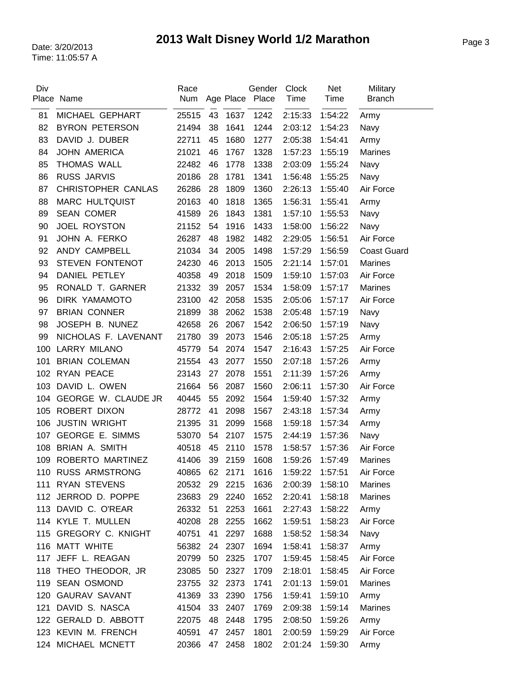| Div | Place Name                | Race<br>Num |    |         | Gender<br>Age Place Place | Clock<br>Time | <b>Net</b><br>Time | Military<br><b>Branch</b> |
|-----|---------------------------|-------------|----|---------|---------------------------|---------------|--------------------|---------------------------|
|     |                           |             |    |         |                           |               |                    |                           |
| 81  | MICHAEL GEPHART           | 25515       | 43 | 1637    | 1242                      | 2:15:33       | 1:54:22            | Army                      |
| 82  | <b>BYRON PETERSON</b>     | 21494       | 38 | 1641    | 1244                      | 2:03:12       | 1:54:23            | Navy                      |
| 83  | DAVID J. DUBER            | 22711       | 45 | 1680    | 1277                      | 2:05:38       | 1:54:41            | Army                      |
| 84  | <b>JOHN AMERICA</b>       | 21021       | 46 | 1767    | 1328                      | 1:57:23       | 1:55:19            | <b>Marines</b>            |
| 85  | THOMAS WALL               | 22482       | 46 | 1778    | 1338                      | 2:03:09       | 1:55:24            | Navy                      |
| 86  | <b>RUSS JARVIS</b>        | 20186       | 28 | 1781    | 1341                      | 1:56:48       | 1:55:25            | Navy                      |
| 87  | <b>CHRISTOPHER CANLAS</b> | 26286       | 28 | 1809    | 1360                      | 2:26:13       | 1:55:40            | Air Force                 |
| 88  | <b>MARC HULTQUIST</b>     | 20163       | 40 | 1818    | 1365                      | 1:56:31       | 1:55:41            | Army                      |
| 89  | <b>SEAN COMER</b>         | 41589       | 26 | 1843    | 1381                      | 1:57:10       | 1:55:53            | Navy                      |
| 90  | <b>JOEL ROYSTON</b>       | 21152       | 54 | 1916    | 1433                      | 1:58:00       | 1:56:22            | Navy                      |
| 91  | JOHN A. FERKO             | 26287       | 48 | 1982    | 1482                      | 2:29:05       | 1:56:51            | Air Force                 |
| 92  | ANDY CAMPBELL             | 21034       | 34 | 2005    | 1498                      | 1:57:29       | 1:56:59            | <b>Coast Guard</b>        |
| 93  | STEVEN FONTENOT           | 24230       | 46 | 2013    | 1505                      | 2:21:14       | 1:57:01            | <b>Marines</b>            |
| 94  | DANIEL PETLEY             | 40358       | 49 | 2018    | 1509                      | 1:59:10       | 1:57:03            | Air Force                 |
| 95  | RONALD T. GARNER          | 21332       | 39 | 2057    | 1534                      | 1:58:09       | 1:57:17            | <b>Marines</b>            |
| 96  | DIRK YAMAMOTO             | 23100       | 42 | 2058    | 1535                      | 2:05:06       | 1:57:17            | Air Force                 |
| 97  | <b>BRIAN CONNER</b>       | 21899       | 38 | 2062    | 1538                      | 2:05:48       | 1:57:19            | Navy                      |
| 98  | JOSEPH B. NUNEZ           | 42658       | 26 | 2067    | 1542                      | 2:06:50       | 1:57:19            | Navy                      |
| 99  | NICHOLAS F. LAVENANT      | 21780       | 39 | 2073    | 1546                      | 2:05:18       | 1:57:25            | Army                      |
| 100 | <b>LARRY MILANO</b>       | 45779       | 54 | 2074    | 1547                      | 2:16:43       | 1:57:25            | Air Force                 |
| 101 | <b>BRIAN COLEMAN</b>      | 21554       | 43 | 2077    | 1550                      | 2:07:18       | 1:57:26            | Army                      |
| 102 | <b>RYAN PEACE</b>         | 23143       | 27 | 2078    | 1551                      | 2:11:39       | 1:57:26            | Army                      |
| 103 | DAVID L. OWEN             | 21664       | 56 | 2087    | 1560                      | 2:06:11       | 1:57:30            | Air Force                 |
| 104 | GEORGE W. CLAUDE JR       | 40445       | 55 | 2092    | 1564                      | 1:59:40       | 1:57:32            | Army                      |
| 105 | ROBERT DIXON              | 28772       | 41 | 2098    | 1567                      | 2:43:18       | 1:57:34            | Army                      |
| 106 | <b>JUSTIN WRIGHT</b>      | 21395       | 31 | 2099    | 1568                      | 1:59:18       | 1:57:34            | Army                      |
| 107 | <b>GEORGE E. SIMMS</b>    | 53070       | 54 | 2107    | 1575                      | 2:44:19       | 1:57:36            | Navy                      |
| 108 | BRIAN A. SMITH            | 40518       | 45 | 2110    | 1578                      | 1:58:57       | 1:57:36            | Air Force                 |
| 109 | ROBERTO MARTINEZ          | 41406       | 39 | 2159    | 1608                      | 1:59:26       | 1:57:49            | <b>Marines</b>            |
| 110 | <b>RUSS ARMSTRONG</b>     | 40865       |    | 62 2171 | 1616                      | 1:59:22       | 1:57:51            | Air Force                 |
| 111 | <b>RYAN STEVENS</b>       | 20532       | 29 | 2215    | 1636                      | 2:00:39       | 1:58:10            | <b>Marines</b>            |
|     | 112 JERROD D. POPPE       | 23683       | 29 | 2240    | 1652                      | 2:20:41       | 1:58:18            | <b>Marines</b>            |
|     | 113 DAVID C. O'REAR       | 26332       | 51 | 2253    | 1661                      | 2:27:43       | 1:58:22            | Army                      |
|     | 114 KYLE T. MULLEN        | 40208       | 28 | 2255    | 1662                      | 1:59:51       | 1:58:23            | Air Force                 |
|     | 115 GREGORY C. KNIGHT     | 40751       | 41 | 2297    | 1688                      | 1:58:52       | 1:58:34            | Navy                      |
|     | 116 MATT WHITE            | 56382       | 24 | 2307    | 1694                      | 1:58:41       | 1:58:37            | Army                      |
|     | 117 JEFF L. REAGAN        | 20799       | 50 | 2325    | 1707                      | 1:59:45       | 1:58:45            | Air Force                 |
|     | 118 THEO THEODOR, JR      | 23085       | 50 | 2327    | 1709                      | 2:18:01       | 1:58:45            | Air Force                 |
|     | 119 SEAN OSMOND           | 23755       | 32 | 2373    | 1741                      | 2:01:13       | 1:59:01            | Marines                   |
|     | 120 GAURAV SAVANT         | 41369       | 33 | 2390    | 1756                      | 1:59:41       | 1:59:10            | Army                      |
| 121 | DAVID S. NASCA            | 41504       | 33 | 2407    | 1769                      | 2:09:38       | 1:59:14            | Marines                   |
|     | 122 GERALD D. ABBOTT      | 22075       | 48 | 2448    | 1795                      | 2:08:50       | 1:59:26            | Army                      |
|     | 123 KEVIN M. FRENCH       | 40591       | 47 | 2457    | 1801                      | 2:00:59       | 1:59:29            | Air Force                 |
| 124 | MICHAEL MCNETT            | 20366       | 47 | 2458    | 1802                      | 2:01:24       | 1:59:30            | Army                      |
|     |                           |             |    |         |                           |               |                    |                           |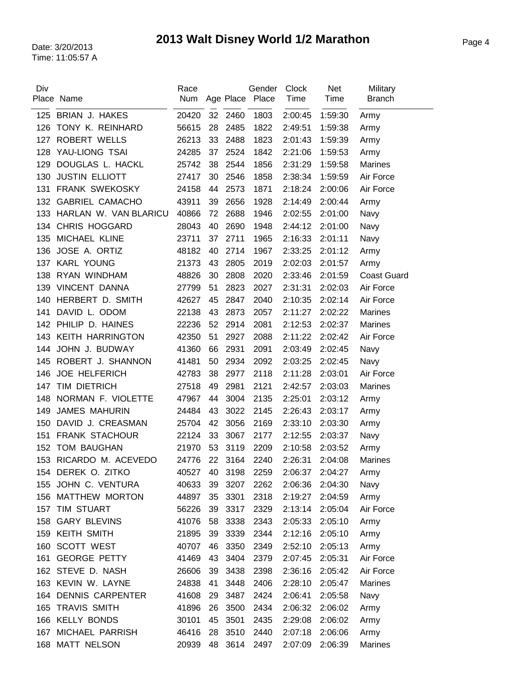| Div | Place Name                | Race<br>Num |    |      | Gender<br>Age Place Place | <b>Clock</b><br>Time | <b>Net</b><br>Time | Military<br><b>Branch</b> |
|-----|---------------------------|-------------|----|------|---------------------------|----------------------|--------------------|---------------------------|
| 125 | <b>BRIAN J. HAKES</b>     | 20420       | 32 | 2460 | 1803                      | 2:00:45              | 1:59:30            | Army                      |
| 126 | TONY K. REINHARD          | 56615       | 28 | 2485 | 1822                      | 2:49:51              | 1:59:38            | Army                      |
| 127 | <b>ROBERT WELLS</b>       | 26213       | 33 | 2488 | 1823                      | 2:01:43              | 1:59:39            | Army                      |
| 128 | YAU-LIONG TSAI            | 24285       | 37 | 2524 | 1842                      | 2:21:06              | 1:59:53            | Army                      |
| 129 | DOUGLAS L. HACKL          | 25742       | 38 | 2544 | 1856                      | 2:31:29              | 1:59:58            | <b>Marines</b>            |
| 130 | <b>JUSTIN ELLIOTT</b>     | 27417       | 30 | 2546 | 1858                      | 2:38:34              | 1:59:59            | Air Force                 |
| 131 | FRANK SWEKOSKY            | 24158       | 44 | 2573 | 1871                      | 2:18:24              | 2:00:06            | Air Force                 |
| 132 | <b>GABRIEL CAMACHO</b>    | 43911       | 39 | 2656 | 1928                      | 2:14:49              | 2:00:44            | Army                      |
|     | 133 HARLAN W. VAN BLARICU | 40866       | 72 | 2688 | 1946                      | 2:02:55              | 2:01:00            | Navy                      |
| 134 | <b>CHRIS HOGGARD</b>      | 28043       | 40 | 2690 | 1948                      | 2:44:12              | 2:01:00            | Navy                      |
| 135 | MICHAEL KLINE             | 23711       | 37 | 2711 | 1965                      | 2:16:33              | 2:01:11            | Navy                      |
| 136 | JOSE A. ORTIZ             | 48182       | 40 | 2714 | 1967                      | 2:33:25              | 2:01:12            | Army                      |
|     | 137 KARL YOUNG            | 21373       | 43 | 2805 | 2019                      | 2:02:03              | 2:01:57            | Army                      |
| 138 | RYAN WINDHAM              | 48826       | 30 | 2808 | 2020                      | 2:33:46              | 2:01:59            | <b>Coast Guard</b>        |
| 139 | VINCENT DANNA             | 27799       | 51 | 2823 | 2027                      | 2:31:31              | 2:02:03            | Air Force                 |
| 140 | HERBERT D. SMITH          | 42627       | 45 | 2847 | 2040                      | 2:10:35              | 2:02:14            | Air Force                 |
| 141 | DAVID L. ODOM             | 22138       | 43 | 2873 | 2057                      | 2:11:27              | 2:02:22            | <b>Marines</b>            |
| 142 | PHILIP D. HAINES          | 22236       | 52 | 2914 | 2081                      | 2:12:53              | 2:02:37            | <b>Marines</b>            |
| 143 | <b>KEITH HARRINGTON</b>   | 42350       | 51 | 2927 | 2088                      | 2:11:22              | 2:02:42            | Air Force                 |
| 144 | JOHN J. BUDWAY            | 41360       | 66 | 2931 | 2091                      | 2:03:49              | 2:02:45            | Navy                      |
| 145 | ROBERT J. SHANNON         | 41481       | 50 | 2934 | 2092                      | 2:03:25              | 2:02:45            | Navy                      |
| 146 | <b>JOE HELFERICH</b>      | 42783       | 38 | 2977 | 2118                      | 2:11:28              | 2:03:01            | Air Force                 |
| 147 | <b>TIM DIETRICH</b>       | 27518       | 49 | 2981 | 2121                      | 2:42:57              | 2:03:03            | <b>Marines</b>            |
| 148 | NORMAN F. VIOLETTE        | 47967       | 44 | 3004 | 2135                      | 2:25:01              | 2:03:12            | Army                      |
| 149 | <b>JAMES MAHURIN</b>      | 24484       | 43 | 3022 | 2145                      | 2:26:43              | 2:03:17            | Army                      |
| 150 | DAVID J. CREASMAN         | 25704       | 42 | 3056 | 2169                      | 2:33:10              | 2:03:30            | Army                      |
| 151 | <b>FRANK STACHOUR</b>     | 22124       | 33 | 3067 | 2177                      | 2:12:55              | 2:03:37            | Navy                      |
| 152 | <b>TOM BAUGHAN</b>        | 21970       | 53 | 3119 | 2209                      | 2:10:58              | 2:03:52            | Army                      |
| 153 | RICARDO M. ACEVEDO        | 24776       | 22 | 3164 | 2240                      | 2:26:31              | 2:04:08            | <b>Marines</b>            |
|     | 154 DEREK O. ZITKO        | 40527       | 40 | 3198 | 2259                      | 2:06:37              | 2:04:27            | Army                      |
|     | 155 JOHN C. VENTURA       | 40633       | 39 | 3207 | 2262                      | 2:06:36              | 2:04:30            | Navy                      |
|     | 156 MATTHEW MORTON        | 44897       | 35 | 3301 | 2318                      | 2:19:27              | 2:04:59            | Army                      |
| 157 | TIM STUART                | 56226       | 39 | 3317 | 2329                      | 2:13:14              | 2:05:04            | Air Force                 |
| 158 | <b>GARY BLEVINS</b>       | 41076       | 58 | 3338 | 2343                      | 2:05:33              | 2:05:10            | Army                      |
|     | 159 KEITH SMITH           | 21895       | 39 | 3339 | 2344                      | 2:12:16              | 2:05:10            | Army                      |
|     | 160 SCOTT WEST            | 40707       | 46 | 3350 | 2349                      | 2:52:10              | 2:05:13            | Army                      |
|     | 161 GEORGE PETTY          | 41469       | 43 | 3404 | 2379                      | 2:07:45              | 2:05:31            | Air Force                 |
|     | 162 STEVE D. NASH         | 26606       | 39 | 3438 | 2398                      | 2:36:16              | 2:05:42            | Air Force                 |
|     | 163 KEVIN W. LAYNE        | 24838       | 41 | 3448 | 2406                      | 2:28:10              | 2:05:47            | Marines                   |
|     | 164 DENNIS CARPENTER      | 41608       | 29 | 3487 | 2424                      | 2:06:41              | 2:05:58            | Navy                      |
|     | 165 TRAVIS SMITH          | 41896       | 26 | 3500 | 2434                      | 2:06:32              | 2:06:02            | Army                      |
|     | 166 KELLY BONDS           | 30101       | 45 | 3501 | 2435                      | 2:29:08              | 2:06:02            | Army                      |
| 167 | MICHAEL PARRISH           | 46416       | 28 | 3510 | 2440                      | 2:07:18              | 2:06:06            | Army                      |
|     | 168 MATT NELSON           | 20939       | 48 | 3614 | 2497                      | 2:07:09              | 2:06:39            | Marines                   |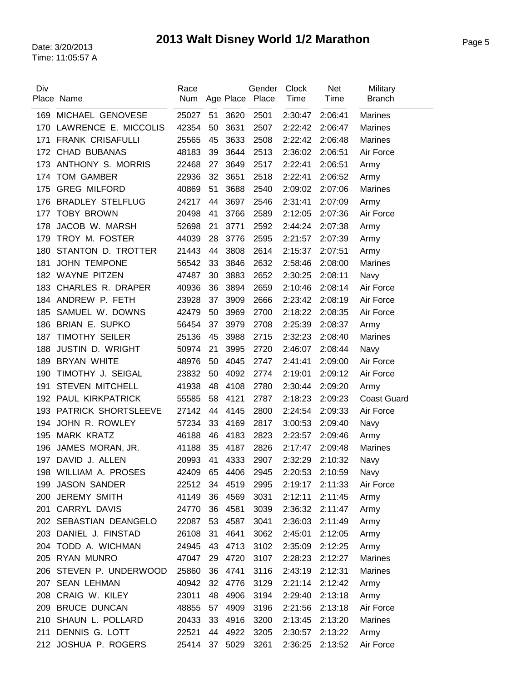| Div | Place Name               | Race<br>Num |    |      | Gender<br>Age Place Place | <b>Clock</b><br>Time | <b>Net</b><br>Time | Military<br><b>Branch</b> |
|-----|--------------------------|-------------|----|------|---------------------------|----------------------|--------------------|---------------------------|
| 169 | MICHAEL GENOVESE         | 25027       | 51 | 3620 | 2501                      | 2:30:47              | 2:06:41            | <b>Marines</b>            |
| 170 | LAWRENCE E. MICCOLIS     | 42354       | 50 | 3631 | 2507                      | 2:22:42              | 2:06:47            | <b>Marines</b>            |
| 171 | <b>FRANK CRISAFULLI</b>  | 25565       | 45 | 3633 | 2508                      | 2:22:42              | 2:06:48            | <b>Marines</b>            |
|     | 172 CHAD BUBANAS         | 48183       | 39 | 3644 | 2513                      | 2:36:02              | 2:06:51            | Air Force                 |
| 173 | ANTHONY S. MORRIS        | 22468       | 27 | 3649 | 2517                      | 2:22:41              | 2:06:51            | Army                      |
| 174 | <b>TOM GAMBER</b>        | 22936       | 32 | 3651 | 2518                      | 2:22:41              | 2:06:52            | Army                      |
| 175 | <b>GREG MILFORD</b>      | 40869       | 51 | 3688 | 2540                      | 2:09:02              | 2:07:06            | <b>Marines</b>            |
| 176 | <b>BRADLEY STELFLUG</b>  | 24217       | 44 | 3697 | 2546                      | 2:31:41              | 2:07:09            | Army                      |
| 177 | <b>TOBY BROWN</b>        | 20498       | 41 | 3766 | 2589                      | 2:12:05              | 2:07:36            | Air Force                 |
| 178 | JACOB W. MARSH           | 52698       | 21 | 3771 | 2592                      | 2:44:24              | 2:07:38            | Army                      |
| 179 | TROY M. FOSTER           | 44039       | 28 | 3776 | 2595                      | 2:21:57              | 2:07:39            | Army                      |
| 180 | STANTON D. TROTTER       | 21443       | 44 | 3808 | 2614                      | 2:15:37              | 2:07:51            | Army                      |
| 181 | <b>JOHN TEMPONE</b>      | 56542       | 33 | 3846 | 2632                      | 2:58:46              | 2:08:00            | <b>Marines</b>            |
| 182 | <b>WAYNE PITZEN</b>      | 47487       | 30 | 3883 | 2652                      | 2:30:25              | 2:08:11            | Navy                      |
| 183 | <b>CHARLES R. DRAPER</b> | 40936       | 36 | 3894 | 2659                      | 2:10:46              | 2:08:14            | Air Force                 |
| 184 | ANDREW P. FETH           | 23928       | 37 | 3909 | 2666                      | 2:23:42              | 2:08:19            | Air Force                 |
| 185 | SAMUEL W. DOWNS          | 42479       | 50 | 3969 | 2700                      | 2:18:22              | 2:08:35            | Air Force                 |
| 186 | <b>BRIAN E. SUPKO</b>    | 56454       | 37 | 3979 | 2708                      | 2:25:39              | 2:08:37            | Army                      |
| 187 | <b>TIMOTHY SEILER</b>    | 25136       | 45 | 3988 | 2715                      | 2:32:23              | 2:08:40            | <b>Marines</b>            |
| 188 | <b>JUSTIN D. WRIGHT</b>  | 50974       | 21 | 3995 | 2720                      | 2:46:07              | 2:08:44            | Navy                      |
| 189 | <b>BRYAN WHITE</b>       | 48976       | 50 | 4045 | 2747                      | 2:41:41              | 2:09:00            | Air Force                 |
| 190 | TIMOTHY J. SEIGAL        | 23832       | 50 | 4092 | 2774                      | 2:19:01              | 2:09:12            | Air Force                 |
| 191 | STEVEN MITCHELL          | 41938       | 48 | 4108 | 2780                      | 2:30:44              | 2:09:20            | Army                      |
| 192 | PAUL KIRKPATRICK         | 55585       | 58 | 4121 | 2787                      | 2:18:23              | 2:09:23            | <b>Coast Guard</b>        |
| 193 | PATRICK SHORTSLEEVE      | 27142       | 44 | 4145 | 2800                      | 2:24:54              | 2:09:33            | Air Force                 |
| 194 | JOHN R. ROWLEY           | 57234       | 33 | 4169 | 2817                      | 3:00:53              | 2:09:40            | Navy                      |
| 195 | <b>MARK KRATZ</b>        | 46188       | 46 | 4183 | 2823                      | 2:23:57              | 2:09:46            | Army                      |
| 196 | JAMES MORAN, JR.         | 41188       | 35 | 4187 | 2826                      | 2:17:47              | 2:09:48            | <b>Marines</b>            |
| 197 | DAVID J. ALLEN           | 20993       | 41 | 4333 | 2907                      | 2:32:29              | 2:10:32            | Navy                      |
|     | 198 WILLIAM A. PROSES    | 42409       | 65 | 4406 | 2945                      | 2:20:53              | 2:10:59            | Navy                      |
| 199 | <b>JASON SANDER</b>      | 22512       | 34 | 4519 | 2995                      | 2:19:17              | 2:11:33            | Air Force                 |
| 200 | <b>JEREMY SMITH</b>      | 41149       | 36 | 4569 | 3031                      | 2:12:11              | 2:11:45            | Army                      |
| 201 | CARRYL DAVIS             | 24770       | 36 | 4581 | 3039                      | 2:36:32              | 2:11:47            | Army                      |
|     | 202 SEBASTIAN DEANGELO   | 22087       | 53 | 4587 | 3041                      | 2:36:03              | 2:11:49            | Army                      |
|     | 203 DANIEL J. FINSTAD    | 26108       | 31 | 4641 | 3062                      | 2:45:01              | 2:12:05            | Army                      |
|     | 204 TODD A. WICHMAN      | 24945       | 43 | 4713 | 3102                      | 2:35:09              | 2:12:25            | Army                      |
|     | 205 RYAN MUNRO           | 47047       | 29 | 4720 | 3107                      | 2:28:23              | 2:12:27            | <b>Marines</b>            |
|     | 206 STEVEN P. UNDERWOOD  | 25860       | 36 | 4741 | 3116                      | 2:43:19              | 2:12:31            | <b>Marines</b>            |
|     | 207 SEAN LEHMAN          | 40942       | 32 | 4776 | 3129                      | 2:21:14              | 2:12:42            | Army                      |
|     | 208 CRAIG W. KILEY       | 23011       | 48 | 4906 | 3194                      | 2:29:40              | 2:13:18            | Army                      |
| 209 | <b>BRUCE DUNCAN</b>      | 48855       | 57 | 4909 | 3196                      | 2:21:56              | 2:13:18            | Air Force                 |
|     | 210 SHAUN L. POLLARD     | 20433       | 33 | 4916 | 3200                      | 2:13:45              | 2:13:20            | <b>Marines</b>            |
| 211 | DENNIS G. LOTT           | 22521       | 44 | 4922 | 3205                      | 2:30:57              | 2:13:22            | Army                      |
|     | 212 JOSHUA P. ROGERS     | 25414       | 37 | 5029 | 3261                      | 2:36:25              | 2:13:52            | Air Force                 |

 $\overline{a}$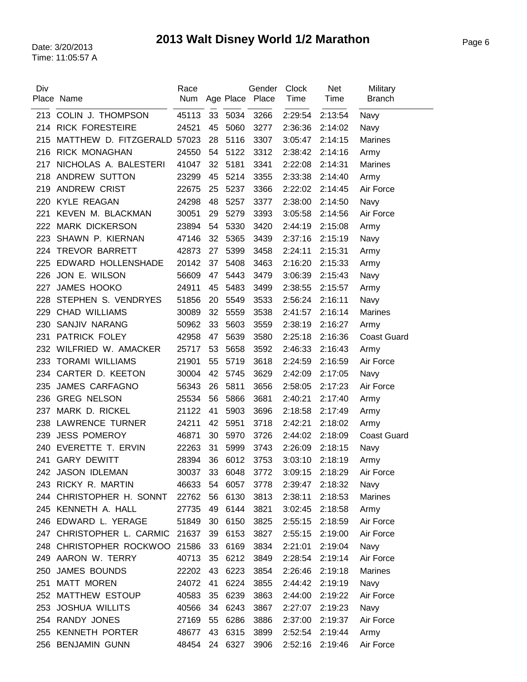| Div | Place Name                  | Race<br>Num |    |         | Gender<br>Age Place Place | Clock<br>Time | <b>Net</b><br>Time | Military<br><b>Branch</b> |
|-----|-----------------------------|-------------|----|---------|---------------------------|---------------|--------------------|---------------------------|
|     | 213 COLIN J. THOMPSON       | 45113       | 33 | 5034    | 3266                      | 2:29:54       | 2:13:54            | Navy                      |
|     | 214 RICK FORESTEIRE         | 24521       | 45 | 5060    | 3277                      | 2:36:36       | 2:14:02            | Navy                      |
| 215 | MATTHEW D. FITZGERALD 57023 |             | 28 | 5116    | 3307                      | 3:05:47       | 2:14:15            | <b>Marines</b>            |
| 216 | <b>RICK MONAGHAN</b>        | 24550       | 54 | 5122    | 3312                      | 2:38:42       | 2:14:16            | Army                      |
| 217 | NICHOLAS A. BALESTERI       | 41047       | 32 | 5181    | 3341                      | 2:22:08       | 2:14:31            | <b>Marines</b>            |
| 218 | ANDREW SUTTON               | 23299       | 45 | 5214    | 3355                      | 2:33:38       | 2:14:40            | Army                      |
| 219 | <b>ANDREW CRIST</b>         | 22675       | 25 | 5237    | 3366                      | 2:22:02       | 2:14:45            | Air Force                 |
|     | 220 KYLE REAGAN             | 24298       | 48 | 5257    | 3377                      | 2:38:00       | 2:14:50            | Navy                      |
| 221 | KEVEN M. BLACKMAN           | 30051       | 29 | 5279    | 3393                      | 3:05:58       | 2:14:56            | Air Force                 |
|     | 222 MARK DICKERSON          | 23894       | 54 | 5330    | 3420                      | 2:44:19       | 2:15:08            | Army                      |
| 223 | SHAWN P. KIERNAN            | 47146       | 32 | 5365    | 3439                      | 2:37:16       | 2:15:19            | Navy                      |
| 224 | TREVOR BARRETT              | 42873       | 27 | 5399    | 3458                      | 2:24:11       | 2:15:31            | Army                      |
| 225 | EDWARD HOLLENSHADE          | 20142       | 37 | 5408    | 3463                      | 2:16:20       | 2:15:33            | Army                      |
| 226 | JON E. WILSON               | 56609       | 47 | 5443    | 3479                      | 3:06:39       | 2:15:43            | Navy                      |
| 227 | <b>JAMES HOOKO</b>          | 24911       | 45 | 5483    | 3499                      | 2:38:55       | 2:15:57            | Army                      |
| 228 | STEPHEN S. VENDRYES         | 51856       | 20 | 5549    | 3533                      | 2:56:24       | 2:16:11            | Navy                      |
| 229 | <b>CHAD WILLIAMS</b>        | 30089       | 32 | 5559    | 3538                      | 2:41:57       | 2:16:14            | <b>Marines</b>            |
| 230 | SANJIV NARANG               | 50962       | 33 | 5603    | 3559                      | 2:38:19       | 2:16:27            | Army                      |
| 231 | PATRICK FOLEY               | 42958       | 47 | 5639    | 3580                      | 2:25:18       | 2:16:36            | <b>Coast Guard</b>        |
| 232 | WILFRIED W. AMACKER         | 25717       | 53 | 5658    | 3592                      | 2:46:33       | 2:16:43            | Army                      |
| 233 | <b>TORAMI WILLIAMS</b>      | 21901       | 55 | 5719    | 3618                      | 2:24:59       | 2:16:59            | Air Force                 |
| 234 | CARTER D. KEETON            | 30004       | 42 | 5745    | 3629                      | 2:42:09       | 2:17:05            | Navy                      |
| 235 | <b>JAMES CARFAGNO</b>       | 56343       | 26 | 5811    | 3656                      | 2:58:05       | 2:17:23            | Air Force                 |
| 236 | <b>GREG NELSON</b>          | 25534       | 56 | 5866    | 3681                      | 2:40:21       | 2:17:40            | Army                      |
| 237 | MARK D. RICKEL              | 21122       | 41 | 5903    | 3696                      | 2:18:58       | 2:17:49            | Army                      |
|     | 238 LAWRENCE TURNER         | 24211       | 42 | 5951    | 3718                      | 2:42:21       | 2:18:02            | Army                      |
| 239 | <b>JESS POMEROY</b>         | 46871       | 30 | 5970    | 3726                      | 2:44:02       | 2:18:09            | <b>Coast Guard</b>        |
| 240 | EVERETTE T. ERVIN           | 22263       | 31 | 5999    | 3743                      | 2:26:09       | 2:18:15            | Navy                      |
| 241 | <b>GARY DEWITT</b>          | 28394       | 36 | 6012    | 3753                      | 3:03:10       | 2:18:19            | Army                      |
|     | 242 JASON IDLEMAN           | 30037       | 33 | 6048    | 3772                      | 3:09:15       | 2:18:29            | Air Force                 |
|     | 243 RICKY R. MARTIN         | 46633       | 54 | 6057    | 3778                      | 2:39:47       | 2:18:32            | Navy                      |
|     | 244 CHRISTOPHER H. SONNT    | 22762       | 56 | 6130    | 3813                      | 2:38:11       | 2:18:53            | Marines                   |
|     | 245 KENNETH A. HALL         | 27735       | 49 | 6144    | 3821                      | 3:02:45       | 2:18:58            | Army                      |
|     | 246 EDWARD L. YERAGE        | 51849       | 30 | 6150    | 3825                      | 2:55:15       | 2:18:59            | Air Force                 |
|     | 247 CHRISTOPHER L. CARMIC   | 21637       | 39 | 6153    | 3827                      | 2:55:15       | 2:19:00            | Air Force                 |
|     | 248 CHRISTOPHER ROCKWOO     | 21586       | 33 | 6169    | 3834                      | 2:21:01       | 2:19:04            | Navy                      |
|     | 249 AARON W. TERRY          | 40713       | 35 | 6212    | 3849                      | 2:28:54       | 2:19:14            | Air Force                 |
|     | 250 JAMES BOUNDS            | 22202       | 43 | 6223    | 3854                      | 2:26:46       | 2:19:18            | Marines                   |
|     | 251 MATT MOREN              | 24072       | 41 | 6224    | 3855                      | 2:44:42       | 2:19:19            | Navy                      |
|     | 252 MATTHEW ESTOUP          | 40583       | 35 | 6239    | 3863                      | 2:44:00       | 2:19:22            | Air Force                 |
|     | 253 JOSHUA WILLITS          | 40566       | 34 | 6243    | 3867                      | 2:27:07       | 2:19:23            | Navy                      |
|     | 254 RANDY JONES             | 27169       | 55 | 6286    | 3886                      | 2:37:00       | 2:19:37            | Air Force                 |
|     | 255 KENNETH PORTER          | 48677       | 43 | 6315    | 3899                      | 2:52:54       | 2:19:44            | Army                      |
|     | 256 BENJAMIN GUNN           | 48454       |    | 24 6327 | 3906                      | 2:52:16       | 2:19:46            | Air Force                 |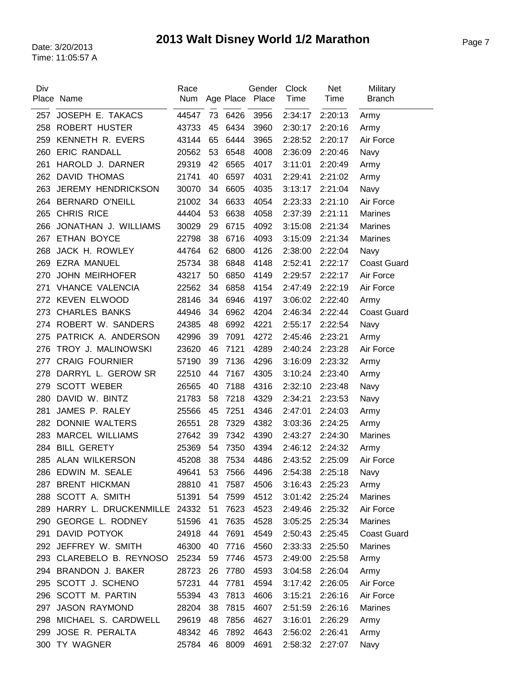| Div | Place Name                      | Race<br>Num |    |         | Gender<br>Age Place Place | <b>Clock</b><br>Time | Net<br>Time        | Military<br><b>Branch</b> |
|-----|---------------------------------|-------------|----|---------|---------------------------|----------------------|--------------------|---------------------------|
| 257 | JOSEPH E. TAKACS                | 44547       | 73 | 6426    | 3956                      | 2:34:17              | 2:20:13            | Army                      |
| 258 | <b>ROBERT HUSTER</b>            | 43733       | 45 | 6434    | 3960                      | 2:30:17              | 2:20:16            | Army                      |
| 259 | KENNETH R. EVERS                | 43144       | 65 | 6444    | 3965                      | 2:28:52              | 2:20:17            | Air Force                 |
| 260 | <b>ERIC RANDALL</b>             | 20562       | 53 | 6548    | 4008                      | 2:36:09              | 2:20:46            | Navy                      |
| 261 | HAROLD J. DARNER                | 29319       | 42 | 6565    | 4017                      | 3:11:01              | 2:20:49            | Army                      |
| 262 | <b>DAVID THOMAS</b>             | 21741       | 40 | 6597    | 4031                      | 2:29:41              | 2:21:02            | Army                      |
| 263 | JEREMY HENDRICKSON              | 30070       | 34 | 6605    | 4035                      | 3:13:17              | 2:21:04            | Navy                      |
| 264 | <b>BERNARD O'NEILL</b>          | 21002       | 34 | 6633    | 4054                      | 2:23:33              | 2:21:10            | Air Force                 |
| 265 | <b>CHRIS RICE</b>               | 44404       | 53 | 6638    | 4058                      | 2:37:39              | 2:21:11            | <b>Marines</b>            |
| 266 | JONATHAN J. WILLIAMS            | 30029       | 29 | 6715    | 4092                      | 3:15:08              | 2:21:34            | <b>Marines</b>            |
| 267 | ETHAN BOYCE                     | 22798       | 38 | 6716    | 4093                      | 3:15:09              | 2:21:34            | <b>Marines</b>            |
| 268 | JACK H. ROWLEY                  | 44764       | 62 | 6800    | 4126                      | 2:38:00              | 2:22:04            | Navy                      |
| 269 | <b>EZRA MANUEL</b>              | 25734       | 38 | 6848    | 4148                      | 2:52:41              | 2:22:17            | <b>Coast Guard</b>        |
| 270 | <b>JOHN MEIRHOFER</b>           | 43217       | 50 | 6850    | 4149                      | 2:29:57              | 2:22:17            | Air Force                 |
| 271 | <b>VHANCE VALENCIA</b>          | 22562       | 34 | 6858    | 4154                      | 2:47:49              | 2:22:19            | Air Force                 |
|     | 272 KEVEN ELWOOD                | 28146       | 34 | 6946    | 4197                      | 3:06:02              | 2:22:40            | Army                      |
| 273 | <b>CHARLES BANKS</b>            | 44946       | 34 | 6962    | 4204                      | 2:46:34              | 2:22:44            | <b>Coast Guard</b>        |
| 274 | ROBERT W. SANDERS               | 24385       | 48 | 6992    | 4221                      | 2:55:17              | 2:22:54            | Navy                      |
| 275 | PATRICK A. ANDERSON             | 42996       | 39 | 7091    | 4272                      | 2:45:46              | 2:23:21            | Army                      |
| 276 | TROY J. MALINOWSKI              | 23620       | 46 | 7121    | 4289                      | 2:40:24              | 2:23:28            | Air Force                 |
| 277 | <b>CRAIG FOURNIER</b>           | 57190       | 39 | 7136    | 4296                      | 3:16:09              | 2:23:32            | Army                      |
| 278 | DARRYL L. GEROW SR              | 22510       | 44 | 7167    | 4305                      | 3:10:24              | 2:23:40            |                           |
| 279 | <b>SCOTT WEBER</b>              | 26565       | 40 | 7188    | 4316                      | 2:32:10              | 2:23:48            | Army                      |
| 280 | DAVID W. BINTZ                  | 21783       | 58 | 7218    | 4329                      |                      |                    | Navy                      |
| 281 | JAMES P. RALEY                  | 25566       | 45 | 7251    | 4346                      | 2:34:21              | 2:23:53<br>2:24:03 | Navy                      |
| 282 | DONNIE WALTERS                  | 26551       |    | 7329    | 4382                      | 2:47:01<br>3:03:36   |                    | Army                      |
|     |                                 |             | 28 | 7342    |                           |                      | 2:24:25            | Army                      |
| 283 | <b>MARCEL WILLIAMS</b>          | 27642       | 39 |         | 4390                      | 2:43:27              | 2:24:30            | <b>Marines</b>            |
| 284 | <b>BILL GERETY</b>              | 25369       | 54 | 7350    | 4394                      | 2:46:12              | 2:24:32            | Army                      |
|     | 285 ALAN WILKERSON              | 45208       | 38 | 7534    | 4486                      | 2:43:52              | 2:25:09            | Air Force                 |
| 286 | EDWIN M. SEALE                  | 49641       |    | 53 7566 | 4496                      | 2:54:38              | 2:25:18            | Navy                      |
| 287 | <b>BRENT HICKMAN</b>            | 28810       | 41 | 7587    | 4506                      | 3:16:43              | 2:25:23            | Army                      |
|     | 288 SCOTT A. SMITH              | 51391       | 54 | 7599    | 4512                      | 3:01:42              | 2:25:24            | <b>Marines</b>            |
|     | 289 HARRY L. DRUCKENMILLE 24332 |             | 51 | 7623    | 4523                      | 2:49:46              | 2:25:32            | Air Force                 |
|     | 290 GEORGE L. RODNEY            | 51596       | 41 | 7635    | 4528                      | 3:05:25              | 2:25:34            | <b>Marines</b>            |
| 291 | DAVID POTYOK                    | 24918       | 44 | 7691    | 4549                      | 2:50:43              | 2:25:45            | <b>Coast Guard</b>        |
|     | 292 JEFFREY W. SMITH            | 46300       | 40 | 7716    | 4560                      | 2:33:33              | 2:25:50            | <b>Marines</b>            |
|     | 293 CLAREBELO B. REYNOSO        | 25234       | 59 | 7746    | 4573                      | 2:49:00              | 2:25:58            | Army                      |
|     | 294 BRANDON J. BAKER            | 28723       | 26 | 7780    | 4593                      | 3:04:58              | 2:26:04            | Army                      |
|     | 295 SCOTT J. SCHENO             | 57231       | 44 | 7781    | 4594                      | 3:17:42              | 2:26:05            | Air Force                 |
|     | 296 SCOTT M. PARTIN             | 55394       | 43 | 7813    | 4606                      | 3:15:21              | 2:26:16            | Air Force                 |
| 297 | <b>JASON RAYMOND</b>            | 28204       | 38 | 7815    | 4607                      | 2:51:59              | 2:26:16            | <b>Marines</b>            |
| 298 | MICHAEL S. CARDWELL             | 29619       | 48 | 7856    | 4627                      | 3:16:01              | 2:26:29            | Army                      |
| 299 | JOSE R. PERALTA                 | 48342       | 46 | 7892    | 4643                      | 2:56:02              | 2:26:41            | Army                      |
| 300 | TY WAGNER                       | 25784       | 46 | 8009    | 4691                      | 2:58:32              | 2:27:07            | Navy                      |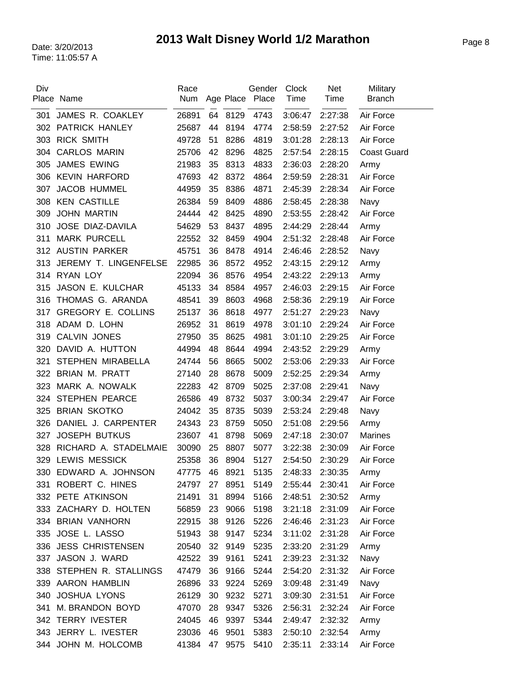| Div | Place Name                | Race<br>Num |    | Age Place | Gender<br>Place | Clock<br>Time | <b>Net</b><br>Time | Military<br><b>Branch</b> |
|-----|---------------------------|-------------|----|-----------|-----------------|---------------|--------------------|---------------------------|
|     |                           |             |    |           |                 |               |                    |                           |
| 301 | JAMES R. COAKLEY          | 26891       |    | 64 8129   | 4743            | 3:06:47       | 2:27:38            | Air Force                 |
| 302 | PATRICK HANLEY            | 25687       | 44 | 8194      | 4774            | 2:58:59       | 2:27:52            | Air Force                 |
| 303 | <b>RICK SMITH</b>         | 49728       | 51 | 8286      | 4819            | 3:01:28       | 2:28:13            | Air Force                 |
| 304 | <b>CARLOS MARIN</b>       | 25706       | 42 | 8296      | 4825            | 2:57:54       | 2:28:15            | <b>Coast Guard</b>        |
| 305 | <b>JAMES EWING</b>        | 21983       | 35 | 8313      | 4833            | 2:36:03       | 2:28:20            | Army                      |
| 306 | <b>KEVIN HARFORD</b>      | 47693       | 42 | 8372      | 4864            | 2:59:59       | 2:28:31            | Air Force                 |
| 307 | JACOB HUMMEL              | 44959       | 35 | 8386      | 4871            | 2:45:39       | 2:28:34            | Air Force                 |
| 308 | <b>KEN CASTILLE</b>       | 26384       | 59 | 8409      | 4886            | 2:58:45       | 2:28:38            | Navy                      |
| 309 | <b>JOHN MARTIN</b>        | 24444       | 42 | 8425      | 4890            | 2:53:55       | 2:28:42            | Air Force                 |
| 310 | JOSE DIAZ-DAVILA          | 54629       | 53 | 8437      | 4895            | 2:44:29       | 2:28:44            | Army                      |
| 311 | <b>MARK PURCELL</b>       | 22552       | 32 | 8459      | 4904            | 2:51:32       | 2:28:48            | Air Force                 |
| 312 | <b>AUSTIN PARKER</b>      | 45751       | 36 | 8478      | 4914            | 2:46:46       | 2:28:52            | Navy                      |
| 313 | JEREMY T. LINGENFELSE     | 22985       | 36 | 8572      | 4952            | 2:43:15       | 2:29:12            | Army                      |
|     | 314 RYAN LOY              | 22094       | 36 | 8576      | 4954            | 2:43:22       | 2:29:13            | Army                      |
| 315 | JASON E. KULCHAR          | 45133       | 34 | 8584      | 4957            | 2:46:03       | 2:29:15            | Air Force                 |
| 316 | THOMAS G. ARANDA          | 48541       | 39 | 8603      | 4968            | 2:58:36       | 2:29:19            | Air Force                 |
| 317 | <b>GREGORY E. COLLINS</b> | 25137       | 36 | 8618      | 4977            | 2:51:27       | 2:29:23            | Navy                      |
| 318 | ADAM D. LOHN              | 26952       | 31 | 8619      | 4978            | 3:01:10       | 2:29:24            | Air Force                 |
| 319 | <b>CALVIN JONES</b>       | 27950       | 35 | 8625      | 4981            | 3:01:10       | 2:29:25            | Air Force                 |
| 320 | DAVID A. HUTTON           | 44994       | 48 | 8644      | 4994            | 2:43:52       | 2:29:29            | Army                      |
| 321 | STEPHEN MIRABELLA         | 24744       | 56 | 8665      | 5002            | 2:53:06       | 2:29:33            | Air Force                 |
| 322 | <b>BRIAN M. PRATT</b>     | 27140       | 28 | 8678      | 5009            | 2:52:25       | 2:29:34            | Army                      |
| 323 | MARK A. NOWALK            | 22283       | 42 | 8709      | 5025            | 2:37:08       | 2:29:41            | Navy                      |
| 324 | <b>STEPHEN PEARCE</b>     | 26586       | 49 | 8732      | 5037            | 3:00:34       | 2:29:47            | Air Force                 |
| 325 | <b>BRIAN SKOTKO</b>       | 24042       | 35 | 8735      | 5039            | 2:53:24       | 2:29:48            | Navy                      |
| 326 | DANIEL J. CARPENTER       | 24343       | 23 | 8759      | 5050            | 2:51:08       | 2:29:56            | Army                      |
| 327 | <b>JOSEPH BUTKUS</b>      | 23607       | 41 | 8798      | 5069            | 2:47:18       | 2:30:07            | <b>Marines</b>            |
| 328 | RICHARD A. STADELMAIE     | 30090       | 25 | 8807      | 5077            | 3:22:38       | 2:30:09            | Air Force                 |
| 329 | <b>LEWIS MESSICK</b>      | 25358       | 36 | 8904      | 5127            | 2:54:50       | 2:30:29            | Air Force                 |
| 330 | EDWARD A. JOHNSON         | 47775       | 46 | 8921      | 5135            | 2:48:33       | 2:30:35            | Army                      |
| 331 | ROBERT C. HINES           | 24797       | 27 | 8951      | 5149            | 2:55:44       | 2:30:41            | Air Force                 |
|     | 332 PETE ATKINSON         | 21491       | 31 | 8994      | 5166            | 2:48:51       | 2:30:52            | Army                      |
|     | 333 ZACHARY D. HOLTEN     | 56859       | 23 | 9066      | 5198            | 3:21:18       | 2:31:09            | Air Force                 |
|     | 334 BRIAN VANHORN         | 22915       | 38 | 9126      | 5226            | 2:46:46       | 2:31:23            | Air Force                 |
|     | 335 JOSE L. LASSO         | 51943       | 38 | 9147      | 5234            | 3:11:02       | 2:31:28            | Air Force                 |
|     | 336 JESS CHRISTENSEN      | 20540       | 32 | 9149      | 5235            | 2:33:20       | 2:31:29            | Army                      |
| 337 | JASON J. WARD             | 42522       | 39 | 9161      | 5241            | 2:39:23       | 2:31:32            | Navy                      |
|     | 338 STEPHEN R. STALLINGS  | 47479       | 36 | 9166      | 5244            | 2:54:20       | 2:31:32            | Air Force                 |
|     | 339 AARON HAMBLIN         | 26896       | 33 | 9224      | 5269            | 3:09:48       | 2:31:49            | Navy                      |
| 340 | <b>JOSHUA LYONS</b>       | 26129       | 30 | 9232      | 5271            | 3:09:30       | 2:31:51            | Air Force                 |
| 341 | M. BRANDON BOYD           | 47070       | 28 | 9347      | 5326            | 2:56:31       | 2:32:24            | Air Force                 |
|     | 342 TERRY IVESTER         | 24045       | 46 | 9397      | 5344            | 2:49:47       | 2:32:32            | Army                      |
|     | 343 JERRY L. IVESTER      | 23036       | 46 | 9501      | 5383            | 2:50:10       | 2:32:54            | Army                      |
|     | 344 JOHN M. HOLCOMB       | 41384       | 47 | 9575      | 5410            | 2:35:11       | 2:33:14            | Air Force                 |
|     |                           |             |    |           |                 |               |                    |                           |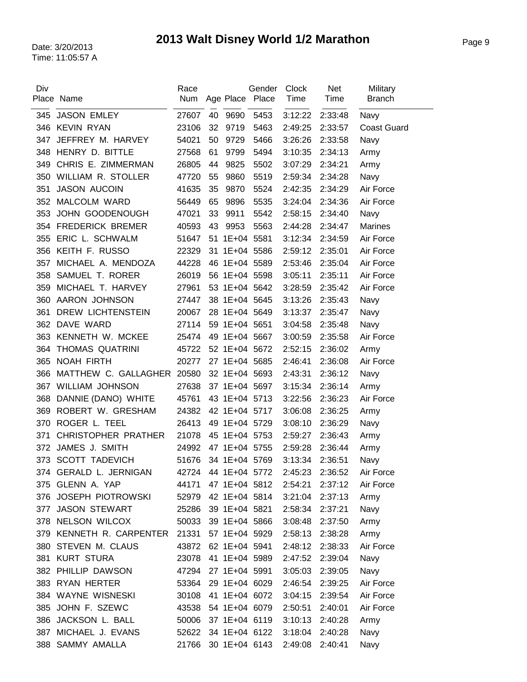| Div | Place Name                 | Race<br>Num |    |               | Gender<br>Age Place Place | <b>Clock</b><br>Time | <b>Net</b><br>Time | Military<br><b>Branch</b> |
|-----|----------------------------|-------------|----|---------------|---------------------------|----------------------|--------------------|---------------------------|
| 345 | <b>JASON EMLEY</b>         | 27607       | 40 | 9690          | 5453                      | 3:12:22              | 2:33:48            | Navy                      |
|     | 346 KEVIN RYAN             | 23106       | 32 | 9719          | 5463                      | 2:49:25              | 2:33:57            | <b>Coast Guard</b>        |
| 347 | JEFFREY M. HARVEY          | 54021       | 50 | 9729          | 5466                      | 3:26:26              | 2:33:58            | Navy                      |
| 348 | HENRY D. BITTLE            | 27568       | 61 | 9799          | 5494                      | 3:10:35              | 2:34:13            | Army                      |
| 349 | CHRIS E. ZIMMERMAN         | 26805       | 44 | 9825          | 5502                      | 3:07:29              | 2:34:21            | Army                      |
| 350 | <b>WILLIAM R. STOLLER</b>  | 47720       | 55 | 9860          | 5519                      | 2:59:34              | 2:34:28            | Navy                      |
| 351 | <b>JASON AUCOIN</b>        | 41635       | 35 | 9870          | 5524                      | 2:42:35              | 2:34:29            | Air Force                 |
| 352 | MALCOLM WARD               | 56449       | 65 | 9896          | 5535                      | 3:24:04              | 2:34:36            | Air Force                 |
| 353 | JOHN GOODENOUGH            | 47021       | 33 | 9911          | 5542                      | 2:58:15              | 2:34:40            | Navy                      |
| 354 | <b>FREDERICK BREMER</b>    | 40593       | 43 | 9953          | 5563                      | 2:44:28              | 2:34:47            | <b>Marines</b>            |
| 355 | ERIC L. SCHWALM            | 51647       | 51 | 1E+04 5581    |                           | 3:12:34              | 2:34:59            | Air Force                 |
| 356 | KEITH F. RUSSO             | 22329       |    | 31 1E+04 5586 |                           | 2:59:12              | 2:35:01            | Air Force                 |
| 357 | MICHAEL A. MENDOZA         | 44228       |    | 46 1E+04 5589 |                           | 2:53:46              | 2:35:04            | Air Force                 |
| 358 | SAMUEL T. RORER            | 26019       |    | 56 1E+04 5598 |                           | 3:05:11              | 2:35:11            | Air Force                 |
| 359 | MICHAEL T. HARVEY          | 27961       |    | 53 1E+04 5642 |                           | 3:28:59              | 2:35:42            | Air Force                 |
| 360 | AARON JOHNSON              | 27447       |    | 38 1E+04 5645 |                           | 3:13:26              | 2:35:43            | Navy                      |
| 361 | DREW LICHTENSTEIN          | 20067       |    | 28 1E+04 5649 |                           | 3:13:37              | 2:35:47            | Navy                      |
| 362 | DAVE WARD                  | 27114       |    | 59 1E+04 5651 |                           | 3:04:58              | 2:35:48            | Navy                      |
| 363 | KENNETH W. MCKEE           | 25474       |    | 49 1E+04 5667 |                           | 3:00:59              | 2:35:58            | Air Force                 |
| 364 | THOMAS QUATRINI            | 45722       |    | 52 1E+04 5672 |                           | 2:52:15              | 2:36:02            | Army                      |
| 365 | <b>NOAH FIRTH</b>          | 20277       |    | 27 1E+04 5685 |                           | 2:46:41              | 2:36:08            | Air Force                 |
| 366 | MATTHEW C. GALLAGHER       | 20580       |    | 32 1E+04 5693 |                           | 2:43:31              | 2:36:12            | Navy                      |
| 367 | WILLIAM JOHNSON            | 27638       |    | 37 1E+04 5697 |                           | 3:15:34              | 2:36:14            | Army                      |
| 368 | DANNIE (DANO) WHITE        | 45761       |    | 43 1E+04 5713 |                           | 3:22:56              | 2:36:23            | Air Force                 |
| 369 | ROBERT W. GRESHAM          | 24382       |    | 42 1E+04 5717 |                           | 3:06:08              | 2:36:25            | Army                      |
| 370 | ROGER L. TEEL              | 26413       |    | 49 1E+04 5729 |                           | 3:08:10              | 2:36:29            | Navy                      |
| 371 | <b>CHRISTOPHER PRATHER</b> | 21078       |    | 45 1E+04 5753 |                           | 2:59:27              | 2:36:43            | Army                      |
| 372 | JAMES J. SMITH             | 24992       |    | 47 1E+04 5755 |                           | 2:59:28              | 2:36:44            | Army                      |
|     | 373 SCOTT TADEVICH         | 51676       |    | 34 1E+04 5769 |                           | 3:13:34              | 2:36:51            | Navy                      |
|     | 374 GERALD L. JERNIGAN     | 42724       |    | 44 1E+04 5772 |                           | 2:45:23              | 2:36:52            | Air Force                 |
|     | 375 GLENN A. YAP           | 44171       |    | 47 1E+04 5812 |                           | 2:54:21              | 2:37:12            | Air Force                 |
|     | 376 JOSEPH PIOTROWSKI      | 52979       |    | 42 1E+04 5814 |                           | 3:21:04              | 2:37:13            | Army                      |
| 377 | <b>JASON STEWART</b>       | 25286       |    | 39 1E+04 5821 |                           | 2:58:34              | 2:37:21            | Navy                      |
|     | 378 NELSON WILCOX          | 50033       |    | 39 1E+04 5866 |                           | 3:08:48              | 2:37:50            | Army                      |
|     | 379 KENNETH R. CARPENTER   | 21331       |    | 57 1E+04 5929 |                           | 2:58:13              | 2:38:28            | Army                      |
|     | 380 STEVEN M. CLAUS        | 43872       |    | 62 1E+04 5941 |                           | 2:48:12              | 2:38:33            | Air Force                 |
|     | 381 KURT STURA             | 23078       |    | 41 1E+04 5989 |                           | 2:47:52              | 2:39:04            | Navy                      |
|     | 382 PHILLIP DAWSON         | 47294       |    | 27 1E+04 5991 |                           | 3:05:03              | 2:39:05            | Navy                      |
|     | 383 RYAN HERTER            | 53364       |    | 29 1E+04 6029 |                           | 2:46:54              | 2:39:25            | Air Force                 |
|     | 384 WAYNE WISNESKI         | 30108       |    | 41 1E+04 6072 |                           | 3:04:15              | 2:39:54            | Air Force                 |
| 385 | JOHN F. SZEWC              | 43538       |    | 54 1E+04 6079 |                           | 2:50:51              | 2:40:01            | Air Force                 |
|     | 386 JACKSON L. BALL        | 50006       |    | 37 1E+04 6119 |                           | 3:10:13              | 2:40:28            | Army                      |
| 387 | MICHAEL J. EVANS           | 52622       |    | 34 1E+04 6122 |                           | 3:18:04              | 2:40:28            | Navy                      |
|     | 388 SAMMY AMALLA           | 21766       |    | 30 1E+04 6143 |                           | 2:49:08              | 2:40:41            | Navy                      |
|     |                            |             |    |               |                           |                      |                    |                           |

 $\overline{a}$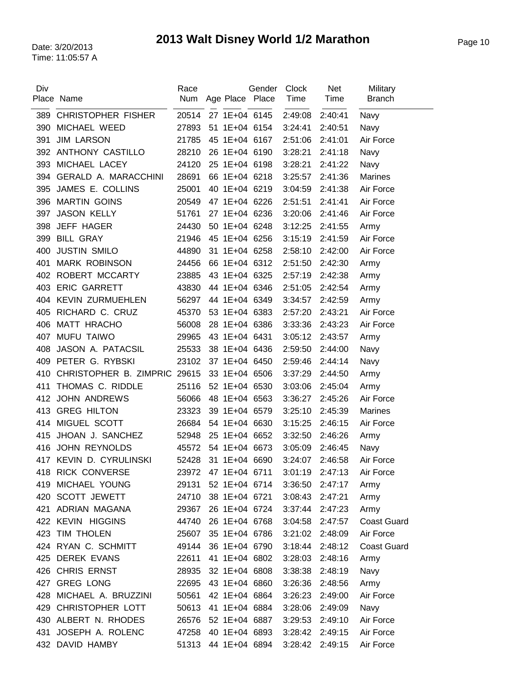| Div | Place Name                   | Race<br>Num         | Age Place Place | Gender | <b>Clock</b><br>Time | <b>Net</b><br>Time | Military<br><b>Branch</b> |
|-----|------------------------------|---------------------|-----------------|--------|----------------------|--------------------|---------------------------|
| 389 | <b>CHRISTOPHER FISHER</b>    | 20514               | 27 1E+04 6145   |        | 2:49:08              | 2:40:41            | Navy                      |
| 390 | MICHAEL WEED                 | 27893               | 51 1E+04 6154   |        | 3:24:41              | 2:40:51            | Navy                      |
| 391 | <b>JIM LARSON</b>            | 21785               | 45 1E+04 6167   |        | 2:51:06              | 2:41:01            | Air Force                 |
|     | 392 ANTHONY CASTILLO         | 28210               | 26 1E+04 6190   |        | 3:28:21              | 2:41:18            | Navy                      |
|     | 393 MICHAEL LACEY            | 24120               | 25 1E+04 6198   |        | 3:28:21              | 2:41:22            | Navy                      |
| 394 | <b>GERALD A. MARACCHINI</b>  | 28691               | 66 1E+04 6218   |        | 3:25:57              | 2:41:36            | <b>Marines</b>            |
| 395 | JAMES E. COLLINS             | 25001               | 40 1E+04 6219   |        | 3:04:59              | 2:41:38            | Air Force                 |
|     | 396 MARTIN GOINS             | 20549               | 47 1E+04 6226   |        | 2:51:51              | 2:41:41            | Air Force                 |
| 397 | <b>JASON KELLY</b>           | 51761               | 27 1E+04 6236   |        | 3:20:06              | 2:41:46            | Air Force                 |
| 398 | JEFF HAGER                   | 24430               | 50 1E+04 6248   |        | 3:12:25              | 2:41:55            | Army                      |
| 399 | <b>BILL GRAY</b>             | 21946               | 45 1E+04 6256   |        | 3:15:19              | 2:41:59            | Air Force                 |
| 400 | <b>JUSTIN SMILO</b>          | 44890               | 31 1E+04 6258   |        | 2:58:10              | 2:42:00            | Air Force                 |
| 401 | <b>MARK ROBINSON</b>         | 24456               | 66 1E+04 6312   |        | 2:51:50              | 2:42:30            | Army                      |
| 402 | ROBERT MCCARTY               | 23885               | 43 1E+04 6325   |        | 2:57:19              | 2:42:38            | Army                      |
| 403 | <b>ERIC GARRETT</b>          | 43830               | 44 1E+04 6346   |        | 2:51:05              | 2:42:54            | Army                      |
|     | 404 KEVIN ZURMUEHLEN         | 56297               | 44 1E+04 6349   |        | 3:34:57              | 2:42:59            | Army                      |
| 405 | RICHARD C. CRUZ              | 45370               | 53 1E+04 6383   |        | 2:57:20              | 2:43:21            | Air Force                 |
| 406 | <b>MATT HRACHO</b>           | 56008               | 28 1E+04 6386   |        | 3:33:36              | 2:43:23            | Air Force                 |
| 407 | <b>MUFU TAIWO</b>            | 29965               | 43 1E+04 6431   |        | 3:05:12              | 2:43:57            | Army                      |
| 408 | JASON A. PATACSIL            | 25533               | 38 1E+04 6436   |        | 2:59:50              | 2:44:00            | Navy                      |
| 409 | PETER G. RYBSKI              | 23102               | 37 1E+04 6450   |        | 2:59:46              | 2:44:14            | Navy                      |
| 410 | CHRISTOPHER B. ZIMPRIC 29615 |                     | 33 1E+04 6506   |        | 3:37:29              | 2:44:50            | Army                      |
| 411 | THOMAS C. RIDDLE             | 25116               | 52 1E+04 6530   |        | 3:03:06              | 2:45:04            | Army                      |
|     | 412 JOHN ANDREWS             | 56066               | 48 1E+04 6563   |        | 3:36:27              | 2:45:26            | Air Force                 |
|     | 413 GREG HILTON              | 23323               | 39 1E+04 6579   |        | 3:25:10              | 2:45:39            | <b>Marines</b>            |
|     | 414 MIGUEL SCOTT             | 26684               | 54 1E+04 6630   |        | 3:15:25              | 2:46:15            | Air Force                 |
| 415 | JHOAN J. SANCHEZ             | 52948               | 25 1E+04 6652   |        | 3:32:50              | 2:46:26            | Army                      |
| 416 | <b>JOHN REYNOLDS</b>         | 45572               | 54 1E+04 6673   |        | 3:05:09              | 2:46:45            | Navy                      |
|     | 417 KEVIN D. CYRULINSKI      | 52428               | 31 1E+04 6690   |        | 3:24:07              | 2:46:58            | Air Force                 |
|     | 418 RICK CONVERSE            | 23972               | 47 1E+04 6711   |        | 3:01:19              | 2:47:13            | Air Force                 |
| 419 | MICHAEL YOUNG                | 29131               | 52 1E+04 6714   |        | 3:36:50              | 2:47:17            | Army                      |
|     | 420 SCOTT JEWETT             | 24710               | 38 1E+04 6721   |        | 3:08:43              | 2:47:21            | Army                      |
|     | 421 ADRIAN MAGANA            | 29367               | 26 1E+04 6724   |        | 3:37:44              | 2:47:23            | Army                      |
|     | 422 KEVIN HIGGINS            | 44740               | 26 1E+04 6768   |        | 3:04:58              | 2:47:57            | <b>Coast Guard</b>        |
|     | 423 TIM THOLEN               | 25607               | 35 1E+04 6786   |        | 3:21:02              | 2:48:09            | Air Force                 |
|     | 424 RYAN C. SCHMITT          | 49144               | 36 1E+04 6790   |        | 3:18:44              | 2:48:12            | <b>Coast Guard</b>        |
|     | 425 DEREK EVANS              | 22611               | 41 1E+04 6802   |        | 3:28:03              | 2:48:16            | Army                      |
|     | 426 CHRIS ERNST              | 28935               | 32 1E+04 6808   |        | 3:38:38              | 2:48:19            | Navy                      |
|     | 427 GREG LONG                | 22695               | 43 1E+04 6860   |        | 3:26:36              | 2:48:56            | Army                      |
|     | 428 MICHAEL A. BRUZZINI      | 50561               | 42 1E+04 6864   |        | 3:26:23              | 2:49:00            | Air Force                 |
|     | 429 CHRISTOPHER LOTT         | 50613               | 41 1E+04 6884   |        | 3:28:06              | 2:49:09            | Navy                      |
|     | 430 ALBERT N. RHODES         | 26576               | 52 1E+04 6887   |        | 3:29:53              | 2:49:10            | Air Force                 |
|     | 431 JOSEPH A. ROLENC         | 47258               | 40 1E+04 6893   |        | 3:28:42              | 2:49:15            | Air Force                 |
|     | 432 DAVID HAMBY              | 51313 44 1E+04 6894 |                 |        | 3:28:42              | 2:49:15            | Air Force                 |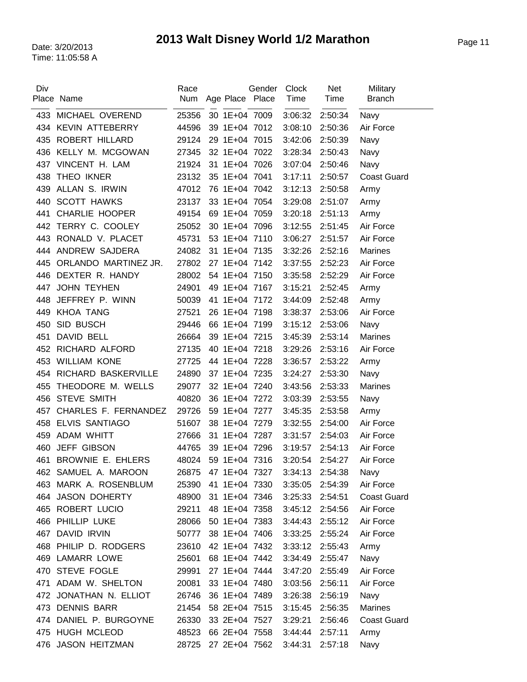| Div | Place Name             | Race<br>Num | Age Place Place | Gender | Clock<br>Time   | Net<br>Time | Military<br><b>Branch</b> |
|-----|------------------------|-------------|-----------------|--------|-----------------|-------------|---------------------------|
|     |                        |             |                 |        |                 |             |                           |
|     | 433 MICHAEL OVEREND    | 25356       | 30 1E+04 7009   |        | 3:06:32         | 2:50:34     | Navy                      |
|     | 434 KEVIN ATTEBERRY    | 44596       | 39 1E+04 7012   |        | 3:08:10         | 2:50:36     | Air Force                 |
| 435 | ROBERT HILLARD         | 29124       | 29 1E+04 7015   |        | 3:42:06         | 2:50:39     | Navy                      |
| 436 | KELLY M. MCGOWAN       | 27345       | 32 1E+04 7022   |        | 3:28:34         | 2:50:43     | Navy                      |
| 437 | VINCENT H. LAM         | 21924       | 31 1E+04 7026   |        | 3:07:04         | 2:50:46     | Navy                      |
| 438 | THEO IKNER             | 23132       | 35 1E+04 7041   |        | 3:17:11         | 2:50:57     | <b>Coast Guard</b>        |
| 439 | ALLAN S. IRWIN         | 47012       | 76 1E+04 7042   |        | 3:12:13         | 2:50:58     | Army                      |
| 440 | <b>SCOTT HAWKS</b>     | 23137       | 33 1E+04 7054   |        | 3:29:08         | 2:51:07     | Army                      |
| 441 | <b>CHARLIE HOOPER</b>  | 49154       | 69 1E+04 7059   |        | 3:20:18         | 2:51:13     | Army                      |
| 442 | TERRY C. COOLEY        | 25052       | 30 1E+04 7096   |        | 3:12:55         | 2:51:45     | Air Force                 |
| 443 | RONALD V. PLACET       | 45731       | 53 1E+04 7110   |        | 3:06:27         | 2:51:57     | Air Force                 |
| 444 | ANDREW SAJDERA         | 24082       | 31 1E+04 7135   |        | 3:32:26         | 2:52:16     | <b>Marines</b>            |
| 445 | ORLANDO MARTINEZ JR.   | 27802       | 27 1E+04 7142   |        | 3:37:55         | 2:52:23     | Air Force                 |
| 446 | DEXTER R. HANDY        | 28002       | 54 1E+04 7150   |        | 3:35:58         | 2:52:29     | Air Force                 |
| 447 | <b>JOHN TEYHEN</b>     | 24901       | 49 1E+04 7167   |        | 3:15:21         | 2:52:45     | Army                      |
| 448 | JEFFREY P. WINN        | 50039       | 41 1E+04 7172   |        | 3:44:09         | 2:52:48     | Army                      |
| 449 | <b>KHOA TANG</b>       | 27521       | 26 1E+04 7198   |        | 3:38:37         | 2:53:06     | Air Force                 |
| 450 | SID BUSCH              | 29446       | 66 1E+04 7199   |        | 3:15:12         | 2:53:06     | Navy                      |
| 451 | DAVID BELL             | 26664       | 39 1E+04 7215   |        | 3:45:39         | 2:53:14     | <b>Marines</b>            |
| 452 | RICHARD ALFORD         | 27135       | 40 1E+04 7218   |        | 3:29:26         | 2:53:16     | Air Force                 |
| 453 | <b>WILLIAM KONE</b>    | 27725       | 44 1E+04 7228   |        | 3:36:57         | 2:53:22     | Army                      |
| 454 | RICHARD BASKERVILLE    | 24890       | 37 1E+04 7235   |        | 3:24:27         | 2:53:30     | Navy                      |
| 455 | THEODORE M. WELLS      | 29077       | 32 1E+04 7240   |        | 3:43:56         | 2:53:33     | <b>Marines</b>            |
| 456 | <b>STEVE SMITH</b>     | 40820       | 36 1E+04 7272   |        | 3:03:39         | 2:53:55     | Navy                      |
| 457 | CHARLES F. FERNANDEZ   | 29726       | 59 1E+04 7277   |        | 3:45:35         | 2:53:58     | Army                      |
| 458 | <b>ELVIS SANTIAGO</b>  | 51607       | 38 1E+04 7279   |        | 3:32:55         | 2:54:00     | Air Force                 |
| 459 | <b>ADAM WHITT</b>      | 27666       | 31 1E+04 7287   |        | 3:31:57         | 2:54:03     | Air Force                 |
| 460 | <b>JEFF GIBSON</b>     | 44765       | 39 1E+04 7296   |        | 3:19:57         | 2:54:13     | Air Force                 |
|     | 461 BROWNIE E. EHLERS  | 48024       | 59 1E+04 7316   |        | 3:20:54         | 2:54:27     | Air Force                 |
|     | 462 SAMUEL A. MAROON   | 26875       | 47 1E+04 7327   |        | 3:34:13         | 2:54:38     | Navy                      |
|     | 463 MARK A. ROSENBLUM  | 25390       | 41 1E+04 7330   |        | 3:35:05         | 2:54:39     | Air Force                 |
|     | 464 JASON DOHERTY      | 48900       | 31 1E+04 7346   |        | 3:25:33 2:54:51 |             | <b>Coast Guard</b>        |
|     | 465 ROBERT LUCIO       | 29211       | 48 1E+04 7358   |        | 3:45:12         | 2:54:56     | Air Force                 |
|     | 466 PHILLIP LUKE       | 28066       | 50 1E+04 7383   |        | 3:44:43 2:55:12 |             | Air Force                 |
| 467 | <b>DAVID IRVIN</b>     | 50777       | 38 1E+04 7406   |        | 3:33:25         | 2:55:24     | Air Force                 |
|     | 468 PHILIP D. RODGERS  | 23610       | 42 1E+04 7432   |        | 3:33:12         | 2:55:43     | Army                      |
|     | 469 LAMARR LOWE        | 25601       | 68 1E+04 7442   |        | 3:34:49         | 2:55:47     | Navy                      |
|     | 470 STEVE FOGLE        | 29991       | 27 1E+04 7444   |        | 3:47:20         | 2:55:49     | Air Force                 |
|     | 471 ADAM W. SHELTON    | 20081       | 33 1E+04 7480   |        | 3:03:56         | 2:56:11     | Air Force                 |
|     | 472 JONATHAN N. ELLIOT | 26746       | 36 1E+04 7489   |        | 3:26:38         | 2:56:19     | Navy                      |
| 473 | <b>DENNIS BARR</b>     | 21454       | 58 2E+04 7515   |        | 3:15:45         | 2:56:35     | <b>Marines</b>            |
|     | 474 DANIEL P. BURGOYNE | 26330       | 33 2E+04 7527   |        | 3:29:21         | 2:56:46     | <b>Coast Guard</b>        |
|     | 475 HUGH MCLEOD        | 48523       | 66 2E+04 7558   |        | 3:44:44         | 2:57:11     | Army                      |
|     | 476 JASON HEITZMAN     | 28725       | 27 2E+04 7562   |        | 3:44:31         | 2:57:18     | Navy                      |
|     |                        |             |                 |        |                 |             |                           |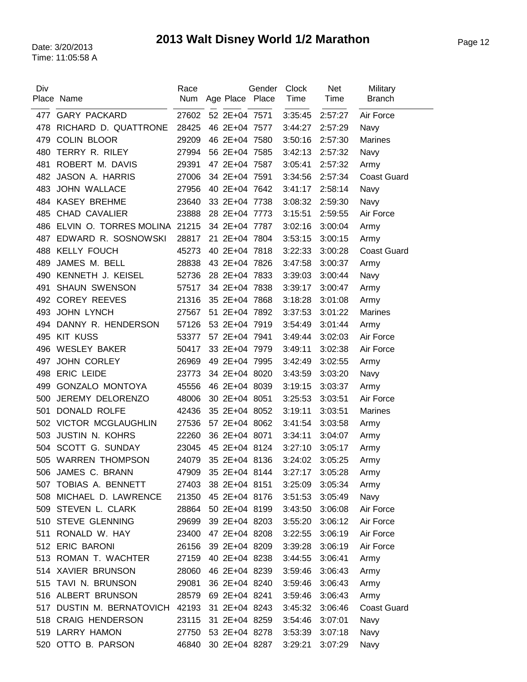| Div | Place Name                   | Race<br>Num | Age Place Place | Gender | Clock<br>Time | <b>Net</b><br>Time | Military<br><b>Branch</b> |
|-----|------------------------------|-------------|-----------------|--------|---------------|--------------------|---------------------------|
| 477 | <b>GARY PACKARD</b>          | 27602       | 52 2E+04 7571   |        | 3:35:45       | 2:57:27            | Air Force                 |
| 478 | RICHARD D. QUATTRONE         | 28425       | 46 2E+04 7577   |        | 3:44:27       | 2:57:29            | Navy                      |
| 479 | <b>COLIN BLOOR</b>           | 29209       | 46 2E+04 7580   |        | 3:50:16       | 2:57:30            | <b>Marines</b>            |
| 480 | TERRY R. RILEY               | 27994       | 56 2E+04 7585   |        | 3:42:13       | 2:57:32            | Navy                      |
| 481 | ROBERT M. DAVIS              | 29391       | 47 2E+04 7587   |        | 3:05:41       | 2:57:32            | Army                      |
| 482 | JASON A. HARRIS              | 27006       | 34 2E+04 7591   |        | 3:34:56       | 2:57:34            | <b>Coast Guard</b>        |
| 483 | <b>JOHN WALLACE</b>          | 27956       | 40 2E+04 7642   |        | 3:41:17       | 2:58:14            | Navy                      |
|     | 484 KASEY BREHME             | 23640       | 33 2E+04 7738   |        | 3:08:32       | 2:59:30            | Navy                      |
| 485 | <b>CHAD CAVALIER</b>         | 23888       | 28 2E+04 7773   |        | 3:15:51       | 2:59:55            | Air Force                 |
| 486 | ELVIN O. TORRES MOLINA 21215 |             | 34 2E+04 7787   |        | 3:02:16       | 3:00:04            | Army                      |
| 487 | EDWARD R. SOSNOWSKI          | 28817       | 21 2E+04 7804   |        | 3:53:15       | 3:00:15            | Army                      |
| 488 | <b>KELLY FOUCH</b>           | 45273       | 40 2E+04 7818   |        | 3:22:33       | 3:00:28            | <b>Coast Guard</b>        |
| 489 | JAMES M. BELL                | 28838       | 43 2E+04 7826   |        | 3:47:58       | 3:00:37            | Army                      |
| 490 | KENNETH J. KEISEL            | 52736       | 28 2E+04 7833   |        | 3:39:03       | 3:00:44            | Navy                      |
| 491 | <b>SHAUN SWENSON</b>         | 57517       | 34 2E+04 7838   |        | 3:39:17       | 3:00:47            | Army                      |
|     | 492 COREY REEVES             | 21316       | 35 2E+04 7868   |        | 3:18:28       | 3:01:08            | Army                      |
| 493 | <b>JOHN LYNCH</b>            | 27567       | 51 2E+04 7892   |        | 3:37:53       | 3:01:22            | <b>Marines</b>            |
| 494 | DANNY R. HENDERSON           | 57126       | 53 2E+04 7919   |        | 3:54:49       | 3:01:44            | Army                      |
| 495 | <b>KIT KUSS</b>              | 53377       | 57 2E+04 7941   |        | 3:49:44       | 3:02:03            | Air Force                 |
| 496 | <b>WESLEY BAKER</b>          | 50417       | 33 2E+04 7979   |        | 3:49:11       | 3:02:38            | Air Force                 |
| 497 | <b>JOHN CORLEY</b>           | 26969       | 49 2E+04 7995   |        | 3:42:49       | 3:02:55            | Army                      |
| 498 | <b>ERIC LEIDE</b>            | 23773       | 34 2E+04 8020   |        | 3:43:59       | 3:03:20            | Navy                      |
| 499 | <b>GONZALO MONTOYA</b>       | 45556       | 46 2E+04 8039   |        | 3:19:15       | 3:03:37            | Army                      |
| 500 | JEREMY DELORENZO             | 48006       | 30 2E+04 8051   |        | 3:25:53       | 3:03:51            | Air Force                 |
| 501 | DONALD ROLFE                 | 42436       | 35 2E+04 8052   |        | 3:19:11       | 3:03:51            | <b>Marines</b>            |
|     | 502 VICTOR MCGLAUGHLIN       | 27536       | 57 2E+04 8062   |        | 3:41:54       | 3:03:58            | Army                      |
| 503 | <b>JUSTIN N. KOHRS</b>       | 22260       | 36 2E+04 8071   |        | 3:34:11       | 3:04:07            | Army                      |
|     | 504 SCOTT G. SUNDAY          | 23045       | 45 2E+04 8124   |        | 3:27:10       | 3:05:17            | Army                      |
|     | 505 WARREN THOMPSON          | 24079       | 35 2E+04 8136   |        | 3:24:02       | 3:05:25            | Army                      |
|     | 506 JAMES C. BRANN           | 47909       | 35 2E+04 8144   |        | 3:27:17       | 3:05:28            | Army                      |
|     | 507 TOBIAS A. BENNETT        | 27403       | 38 2E+04 8151   |        | 3:25:09       | 3:05:34            | Army                      |
|     | 508 MICHAEL D. LAWRENCE      | 21350       | 45 2E+04 8176   |        | 3:51:53       | 3:05:49            | Navy                      |
|     | 509 STEVEN L. CLARK          | 28864       | 50 2E+04 8199   |        | 3:43:50       | 3:06:08            | Air Force                 |
|     | 510 STEVE GLENNING           | 29699       | 39 2E+04 8203   |        | 3:55:20       | 3:06:12            | Air Force                 |
| 511 | RONALD W. HAY                | 23400       | 47 2E+04 8208   |        | 3:22:55       | 3:06:19            | Air Force                 |
|     | 512 ERIC BARONI              | 26156       | 39 2E+04 8209   |        | 3:39:28       | 3:06:19            | Air Force                 |
|     | 513 ROMAN T. WACHTER         | 27159       | 40 2E+04 8238   |        | 3:44:55       | 3:06:41            | Army                      |
|     | 514 XAVIER BRUNSON           | 28060       | 46 2E+04 8239   |        | 3:59:46       | 3:06:43            | Army                      |
|     | 515 TAVI N. BRUNSON          | 29081       | 36 2E+04 8240   |        | 3:59:46       | 3:06:43            | Army                      |
|     | 516 ALBERT BRUNSON           | 28579       | 69 2E+04 8241   |        | 3:59:46       | 3:06:43            | Army                      |
| 517 | DUSTIN M. BERNATOVICH 42193  |             | 31 2E+04 8243   |        | 3:45:32       | 3:06:46            | <b>Coast Guard</b>        |
|     | 518 CRAIG HENDERSON          | 23115       | 31 2E+04 8259   |        | 3:54:46       | 3:07:01            | Navy                      |
|     | 519 LARRY HAMON              | 27750       | 53 2E+04 8278   |        | 3:53:39       | 3:07:18            | Navy                      |
|     | 520 OTTO B. PARSON           | 46840       | 30 2E+04 8287   |        | 3:29:21       | 3:07:29            | Navy                      |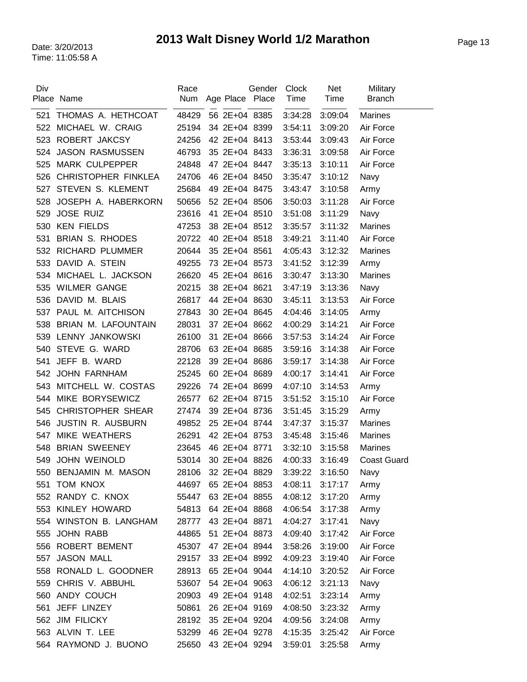| Div | Place Name                    | Race<br>Num | Age Place Place | Gender | <b>Clock</b><br>Time | <b>Net</b><br>Time | Military<br><b>Branch</b> |
|-----|-------------------------------|-------------|-----------------|--------|----------------------|--------------------|---------------------------|
| 521 | THOMAS A. HETHCOAT            | 48429       | 56 2E+04 8385   |        | 3:34:28              | 3:09:04            | <b>Marines</b>            |
| 522 | MICHAEL W. CRAIG              | 25194       | 34 2E+04 8399   |        | 3:54:11              | 3:09:20            | Air Force                 |
| 523 | ROBERT JAKCSY                 | 24256       | 42 2E+04 8413   |        | 3:53:44              | 3:09:43            | Air Force                 |
| 524 | <b>JASON RASMUSSEN</b>        | 46793       | 35 2E+04 8433   |        | 3:36:31              | 3:09:58            | Air Force                 |
| 525 | <b>MARK CULPEPPER</b>         | 24848       | 47 2E+04 8447   |        | 3:35:13              | 3:10:11            | Air Force                 |
| 526 | <b>CHRISTOPHER FINKLEA</b>    | 24706       | 46 2E+04 8450   |        | 3:35:47              | 3:10:12            | Navy                      |
| 527 | STEVEN S. KLEMENT             | 25684       | 49 2E+04 8475   |        | 3:43:47              | 3:10:58            | Army                      |
| 528 | JOSEPH A. HABERKORN           | 50656       | 52 2E+04 8506   |        | 3:50:03              | 3:11:28            | Air Force                 |
| 529 | <b>JOSE RUIZ</b>              | 23616       | 41 2E+04 8510   |        | 3:51:08              | 3:11:29            | Navy                      |
| 530 | <b>KEN FIELDS</b>             | 47253       | 38 2E+04 8512   |        | 3:35:57              | 3:11:32            | <b>Marines</b>            |
| 531 | <b>BRIAN S. RHODES</b>        | 20722       | 40 2E+04 8518   |        | 3:49:21              | 3:11:40            | Air Force                 |
| 532 | <b>RICHARD PLUMMER</b>        | 20644       | 35 2E+04 8561   |        | 4:05:43              | 3:12:32            | Marines                   |
| 533 | DAVID A. STEIN                | 49255       | 73 2E+04 8573   |        | 3:41:52              | 3:12:39            | Army                      |
| 534 | MICHAEL L. JACKSON            | 26620       | 45 2E+04 8616   |        | 3:30:47              | 3:13:30            | <b>Marines</b>            |
| 535 | <b>WILMER GANGE</b>           | 20215       | 38 2E+04 8621   |        | 3:47:19              | 3:13:36            | Navy                      |
| 536 | DAVID M. BLAIS                | 26817       | 44 2E+04 8630   |        | 3:45:11              | 3:13:53            | Air Force                 |
| 537 | PAUL M. AITCHISON             | 27843       | 30 2E+04 8645   |        | 4:04:46              | 3:14:05            | Army                      |
| 538 | <b>BRIAN M. LAFOUNTAIN</b>    | 28031       | 37 2E+04 8662   |        | 4:00:29              | 3:14:21            | Air Force                 |
| 539 | LENNY JANKOWSKI               | 26100       | 31 2E+04 8666   |        | 3:57:53              | 3:14:24            | Air Force                 |
| 540 | STEVE G. WARD                 | 28706       | 63 2E+04 8685   |        | 3:59:16              | 3:14:38            | Air Force                 |
| 541 | JEFF B. WARD                  | 22128       | 39 2E+04 8686   |        | 3:59:17              | 3:14:38            | Air Force                 |
| 542 | <b>JOHN FARNHAM</b>           | 25245       | 60 2E+04 8689   |        | 4:00:17              | 3:14:41            | Air Force                 |
| 543 | MITCHELL W. COSTAS            | 29226       | 74 2E+04 8699   |        | 4:07:10              | 3:14:53            |                           |
| 544 | MIKE BORYSEWICZ               | 26577       | 62 2E+04 8715   |        | 3:51:52              | 3:15:10            | Army<br>Air Force         |
| 545 | <b>CHRISTOPHER SHEAR</b>      | 27474       | 39 2E+04 8736   |        | 3:51:45              | 3:15:29            | Army                      |
| 546 | JUSTIN R. AUSBURN             | 49852       | 25 2E+04 8744   |        | 3:47:37              | 3:15:37            | <b>Marines</b>            |
| 547 | MIKE WEATHERS                 | 26291       | 42 2E+04 8753   |        | 3:45:48              | 3:15:46            | Marines                   |
| 548 | <b>BRIAN SWEENEY</b>          | 23645       | 46 2E+04 8771   |        | 3:32:10              | 3:15:58            | <b>Marines</b>            |
|     | 549 JOHN WEINOLD              | 53014       | 30 2E+04 8826   |        | 4:00:33              | 3:16:49            | <b>Coast Guard</b>        |
|     |                               |             |                 |        |                      |                    |                           |
| 550 | BENJAMIN M. MASON<br>TOM KNOX | 28106       | 32 2E+04 8829   |        | 3:39:22              | 3:16:50            | Navy                      |
| 551 | 552 RANDY C. KNOX             | 44697       | 65 2E+04 8853   |        | 4:08:11              | 3:17:17            | Army                      |
|     |                               | 55447       | 63 2E+04 8855   |        | 4:08:12              | 3:17:20            | Army                      |
|     | 553 KINLEY HOWARD             | 54813       | 64 2E+04 8868   |        | 4:06:54              | 3:17:38            | Army                      |
|     | 554 WINSTON B. LANGHAM        | 28777       | 43 2E+04 8871   |        | 4:04:27              | 3:17:41            | Navy                      |
| 555 | <b>JOHN RABB</b>              | 44865       | 51 2E+04 8873   |        | 4:09:40              | 3:17:42            | Air Force                 |
|     | 556 ROBERT BEMENT             | 45307       | 47 2E+04 8944   |        | 3:58:26              | 3:19:00            | Air Force                 |
| 557 | <b>JASON MALL</b>             | 29157       | 33 2E+04 8992   |        | 4:09:23              | 3:19:40            | Air Force                 |
|     | 558 RONALD L. GOODNER         | 28913       | 65 2E+04 9044   |        | 4:14:10              | 3:20:52            | Air Force                 |
|     | 559 CHRIS V. ABBUHL           | 53607       | 54 2E+04 9063   |        | 4:06:12              | 3:21:13            | Navy                      |
|     | 560 ANDY COUCH                | 20903       | 49 2E+04 9148   |        | 4:02:51              | 3:23:14            | Army                      |
| 561 | JEFF LINZEY                   | 50861       | 26 2E+04 9169   |        | 4:08:50              | 3:23:32            | Army                      |
|     | 562 JIM FILICKY               | 28192       | 35 2E+04 9204   |        | 4:09:56              | 3:24:08            | Army                      |
|     | 563 ALVIN T. LEE              | 53299       | 46 2E+04 9278   |        | 4:15:35              | 3:25:42            | Air Force                 |
|     | 564 RAYMOND J. BUONO          | 25650       | 43 2E+04 9294   |        | 3:59:01              | 3:25:58            | Army                      |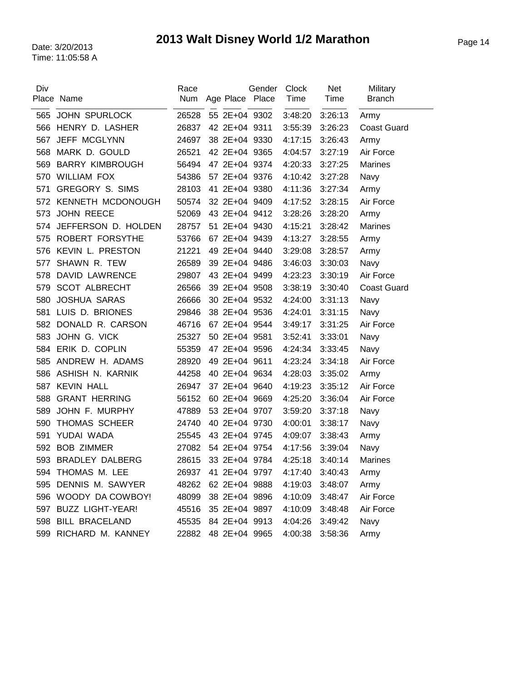| Place Name                 | Race<br><b>Num</b> |       |  | Clock<br>Time                                                                                                                                                                                                                                                                                                                                                                                                                                                                                                                                                                                                                                | <b>Net</b><br>Time | Military<br><b>Branch</b> |
|----------------------------|--------------------|-------|--|----------------------------------------------------------------------------------------------------------------------------------------------------------------------------------------------------------------------------------------------------------------------------------------------------------------------------------------------------------------------------------------------------------------------------------------------------------------------------------------------------------------------------------------------------------------------------------------------------------------------------------------------|--------------------|---------------------------|
| 565 JOHN SPURLOCK          | 26528              |       |  | 3:48:20                                                                                                                                                                                                                                                                                                                                                                                                                                                                                                                                                                                                                                      | 3:26:13            | Army                      |
| HENRY D. LASHER            | 26837              |       |  | 3:55:39                                                                                                                                                                                                                                                                                                                                                                                                                                                                                                                                                                                                                                      | 3:26:23            | <b>Coast Guard</b>        |
| JEFF MCGLYNN               | 24697              |       |  | 4:17:15                                                                                                                                                                                                                                                                                                                                                                                                                                                                                                                                                                                                                                      | 3:26:43            | Army                      |
| MARK D. GOULD              | 26521              |       |  | 4:04:57                                                                                                                                                                                                                                                                                                                                                                                                                                                                                                                                                                                                                                      | 3:27:19            | Air Force                 |
| <b>BARRY KIMBROUGH</b>     | 56494              |       |  | 4:20:33                                                                                                                                                                                                                                                                                                                                                                                                                                                                                                                                                                                                                                      | 3:27:25            | Marines                   |
| <b>WILLIAM FOX</b>         | 54386              |       |  | 4:10:42                                                                                                                                                                                                                                                                                                                                                                                                                                                                                                                                                                                                                                      | 3:27:28            | Navy                      |
| <b>GREGORY S. SIMS</b>     | 28103              |       |  | 4:11:36                                                                                                                                                                                                                                                                                                                                                                                                                                                                                                                                                                                                                                      | 3:27:34            | Army                      |
| 572 KENNETH MCDONOUGH      | 50574              |       |  | 4:17:52                                                                                                                                                                                                                                                                                                                                                                                                                                                                                                                                                                                                                                      | 3:28:15            | Air Force                 |
| 573 JOHN REECE             | 52069              |       |  | 3:28:26                                                                                                                                                                                                                                                                                                                                                                                                                                                                                                                                                                                                                                      | 3:28:20            | Army                      |
| JEFFERSON D. HOLDEN<br>574 | 28757              |       |  | 4:15:21                                                                                                                                                                                                                                                                                                                                                                                                                                                                                                                                                                                                                                      | 3:28:42            | <b>Marines</b>            |
| ROBERT FORSYTHE            | 53766              |       |  | 4:13:27                                                                                                                                                                                                                                                                                                                                                                                                                                                                                                                                                                                                                                      | 3:28:55            | Army                      |
| KEVIN L. PRESTON           | 21221              |       |  | 3:29:08                                                                                                                                                                                                                                                                                                                                                                                                                                                                                                                                                                                                                                      | 3:28:57            | Army                      |
| SHAWN R. TEW               | 26589              |       |  | 3:46:03                                                                                                                                                                                                                                                                                                                                                                                                                                                                                                                                                                                                                                      | 3:30:03            | Navy                      |
| <b>DAVID LAWRENCE</b>      | 29807              |       |  | 4:23:23                                                                                                                                                                                                                                                                                                                                                                                                                                                                                                                                                                                                                                      | 3:30:19            | Air Force                 |
| <b>SCOT ALBRECHT</b>       | 26566              |       |  | 3:38:19                                                                                                                                                                                                                                                                                                                                                                                                                                                                                                                                                                                                                                      | 3:30:40            | <b>Coast Guard</b>        |
| <b>JOSHUA SARAS</b>        | 26666              |       |  | 4:24:00                                                                                                                                                                                                                                                                                                                                                                                                                                                                                                                                                                                                                                      | 3:31:13            | Navy                      |
| LUIS D. BRIONES            | 29846              |       |  | 4:24:01                                                                                                                                                                                                                                                                                                                                                                                                                                                                                                                                                                                                                                      | 3:31:15            | Navy                      |
| DONALD R. CARSON           | 46716              |       |  | 3:49:17                                                                                                                                                                                                                                                                                                                                                                                                                                                                                                                                                                                                                                      | 3:31:25            | Air Force                 |
| 583 JOHN G. VICK           | 25327              |       |  | 3:52:41                                                                                                                                                                                                                                                                                                                                                                                                                                                                                                                                                                                                                                      | 3:33:01            | Navy                      |
| 584 ERIK D. COPLIN         | 55359              |       |  | 4:24:34                                                                                                                                                                                                                                                                                                                                                                                                                                                                                                                                                                                                                                      | 3:33:45            | Navy                      |
| ANDREW H. ADAMS            | 28920              |       |  | 4:23:24                                                                                                                                                                                                                                                                                                                                                                                                                                                                                                                                                                                                                                      | 3:34:18            | Air Force                 |
| ASHISH N. KARNIK           | 44258              |       |  | 4:28:03                                                                                                                                                                                                                                                                                                                                                                                                                                                                                                                                                                                                                                      | 3:35:02            | Army                      |
| <b>KEVIN HALL</b>          | 26947              |       |  | 4:19:23                                                                                                                                                                                                                                                                                                                                                                                                                                                                                                                                                                                                                                      | 3:35:12            | Air Force                 |
| <b>GRANT HERRING</b>       | 56152              |       |  | 4:25:20                                                                                                                                                                                                                                                                                                                                                                                                                                                                                                                                                                                                                                      | 3:36:04            | Air Force                 |
| JOHN F. MURPHY             | 47889              |       |  | 3:59:20                                                                                                                                                                                                                                                                                                                                                                                                                                                                                                                                                                                                                                      | 3:37:18            | Navy                      |
| <b>THOMAS SCHEER</b>       | 24740              |       |  | 4:00:01                                                                                                                                                                                                                                                                                                                                                                                                                                                                                                                                                                                                                                      | 3:38:17            | Navy                      |
| YUDAI WADA                 | 25545              |       |  | 4:09:07                                                                                                                                                                                                                                                                                                                                                                                                                                                                                                                                                                                                                                      | 3:38:43            | Army                      |
| <b>BOB ZIMMER</b>          | 27082              |       |  | 4:17:56                                                                                                                                                                                                                                                                                                                                                                                                                                                                                                                                                                                                                                      | 3:39:04            | Navy                      |
| 593 BRADLEY DALBERG        | 28615              |       |  | 4:25:18                                                                                                                                                                                                                                                                                                                                                                                                                                                                                                                                                                                                                                      | 3:40:14            | <b>Marines</b>            |
|                            |                    |       |  | 4:17:40                                                                                                                                                                                                                                                                                                                                                                                                                                                                                                                                                                                                                                      | 3:40:43            | Army                      |
| DENNIS M. SAWYER           | 48262              |       |  | 4:19:03                                                                                                                                                                                                                                                                                                                                                                                                                                                                                                                                                                                                                                      | 3:48:07            | Army                      |
| 596 WOODY DA COWBOY!       | 48099              |       |  | 4:10:09                                                                                                                                                                                                                                                                                                                                                                                                                                                                                                                                                                                                                                      | 3:48:47            | Air Force                 |
| <b>BUZZ LIGHT-YEAR!</b>    | 45516              |       |  | 4:10:09                                                                                                                                                                                                                                                                                                                                                                                                                                                                                                                                                                                                                                      | 3:48:48            | Air Force                 |
| 598 BILL BRACELAND         | 45535              |       |  | 4:04:26                                                                                                                                                                                                                                                                                                                                                                                                                                                                                                                                                                                                                                      | 3:49:42            | Navy                      |
| RICHARD M. KANNEY          | 22882              |       |  | 4:00:38                                                                                                                                                                                                                                                                                                                                                                                                                                                                                                                                                                                                                                      | 3:58:36            | Army                      |
|                            | THOMAS M. LEE      | 26937 |  | Gender<br>Age Place Place<br>55 2E+04 9302<br>42 2E+04 9311<br>38 2E+04 9330<br>42 2E+04 9365<br>47 2E+04 9374<br>57 2E+04 9376<br>41 2E+04 9380<br>32 2E+04 9409<br>43 2E+04 9412<br>51 2E+04 9430<br>67 2E+04 9439<br>49 2E+04 9440<br>39 2E+04 9486<br>43 2E+04 9499<br>39 2E+04 9508<br>30 2E+04 9532<br>38 2E+04 9536<br>67 2E+04 9544<br>50 2E+04 9581<br>47 2E+04 9596<br>49 2E+04 9611<br>40 2E+04 9634<br>37 2E+04 9640<br>60 2E+04 9669<br>53 2E+04 9707<br>40 2E+04 9730<br>43 2E+04 9745<br>54 2E+04 9754<br>33 2E+04 9784<br>41 2E+04 9797<br>62 2E+04 9888<br>38 2E+04 9896<br>35 2E+04 9897<br>84 2E+04 9913<br>48 2E+04 9965 |                    |                           |

 $\overline{a}$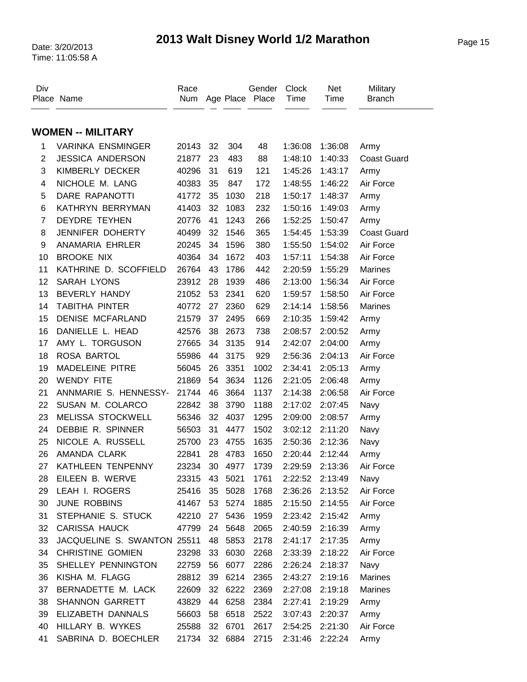## Page 15 Date: 3/20/2013 **2013 Walt Disney World 1/2 Marathon**

Time: 11:05:58 A

| <b>WOMEN -- MILITARY</b><br>VARINKA ENSMINGER<br>20143<br>32<br>304<br>48<br>1:36:08<br>1:36:08<br>1<br>Army<br>$\overline{2}$<br><b>JESSICA ANDERSON</b><br>21877<br>23<br>483<br>88<br>1:48:10<br>1:40:33<br><b>Coast Guard</b><br>3<br>KIMBERLY DECKER<br>40296<br>31<br>619<br>121<br>1:43:17<br>1:45:26<br>Army<br>NICHOLE M. LANG<br>35<br>Air Force<br>4<br>40383<br>847<br>172<br>1:48:55<br>1:46:22<br>5<br>DARE RAPANOTTI<br>35<br>41772<br>1030<br>218<br>1:50:17<br>1:48:37<br>Army<br>KATHRYN BERRYMAN<br>32<br>6<br>41403<br>1083<br>232<br>1:50:16<br>1:49:03<br>Army<br>$\overline{7}$<br><b>DEYDRE TEYHEN</b><br>20776<br>41<br>1243<br>266<br>1:52:25<br>1:50:47<br>Army<br>JENNIFER DOHERTY<br>365<br>8<br>40499<br>32<br>1546<br><b>Coast Guard</b><br>1:54:45<br>1:53:39<br>ANAMARIA EHRLER<br>1596<br>380<br>Air Force<br>9<br>20245<br>34<br>1:54:02<br>1:55:50<br>10<br><b>BROOKE NIX</b><br>40364<br>34<br>1672<br>403<br>1:57:11<br>Air Force<br>1:54:38<br>KATHRINE D. SCOFFIELD<br>43<br>11<br>26764<br>1786<br>442<br>2:20:59<br>1:55:29<br><b>Marines</b><br>12<br><b>SARAH LYONS</b><br>23912<br>28<br>1939<br>486<br>2:13:00<br>1:56:34<br>Air Force<br>13<br>53<br><b>BEVERLY HANDY</b><br>21052<br>2341<br>620<br>1:59:57<br>1:58:50<br>Air Force<br><b>TABITHA PINTER</b><br>27<br>2360<br>14<br>40772<br>629<br>2:14:14<br>1:58:56<br><b>Marines</b><br><b>DENISE MCFARLAND</b><br>15<br>21579<br>37<br>2495<br>669<br>2:10:35<br>1:59:42<br>Army<br>DANIELLE L. HEAD<br>16<br>42576<br>38<br>2673<br>738<br>2:08:57<br>2:00:52<br>Army<br>17<br>AMY L. TORGUSON<br>27665<br>34<br>3135<br>914<br>2:42:07<br>2:04:00<br>Army<br>18<br>ROSA BARTOL<br>55986<br>44<br>3175<br>929<br>2:56:36<br>Air Force<br>2:04:13<br><b>MADELEINE PITRE</b><br>3351<br>1002<br>19<br>56045<br>26<br>2:34:41<br>2:05:13<br>Army<br>20<br><b>WENDY FITE</b><br>3634<br>21869<br>54<br>1126<br>2:21:05<br>2:06:48<br>Army<br>21<br>ANNMARIE S. HENNESSY-<br>46<br>21744<br>3664<br>1137<br>2:14:38<br>Air Force<br>2:06:58<br>22<br>SUSAN M. COLARCO<br>38<br>22842<br>3790<br>1188<br>2:17:02<br>2:07:45<br>Navy<br>MELISSA STOCKWELL<br>23<br>56346<br>32<br>4037<br>1295<br>2:09:00<br>2:08:57<br>Army<br>DEBBIE R. SPINNER<br>24<br>31<br>4477<br>1502<br>3:02:12<br>56503<br>2:11:20<br>Navy<br>NICOLE A. RUSSELL<br>25<br>25700<br>23<br>4755<br>1635<br>2:50:36<br>2:12:36<br>Navy<br>26<br>AMANDA CLARK<br>28<br>22841<br>4783<br>1650<br>2:20:44<br>2:12:44<br>Army<br>30<br>27<br>KATHLEEN TENPENNY<br>23234<br>4977<br>1739<br>2:29:59<br>2:13:36<br>Air Force<br>EILEEN B. WERVE<br>23315<br>43 5021<br>1761<br>2:22:52<br>2:13:49<br>28<br>Navy<br>29<br>LEAH I. ROGERS<br>25416<br>35<br>5028<br>1768<br>2:36:26<br>2:13:52<br>Air Force<br><b>JUNE ROBBINS</b><br>30<br>41467<br>53<br>5274<br>1885<br>2:15:50<br>2:14:55<br>Air Force<br>STEPHANIE S. STUCK<br>31<br>42210<br>27<br>5436<br>1959<br>2:23:42<br>2:15:42<br>Army<br><b>CARISSA HAUCK</b><br>5648<br>2065<br>32<br>47799<br>24<br>2:40:59<br>2:16:39<br>Army<br>JACQUELINE S. SWANTON 25511<br>33<br>48<br>5853<br>2178<br>2:41:17<br>2:17:35<br>Army<br>34<br><b>CHRISTINE GOMIEN</b><br>23298<br>33<br>6030<br>2268<br>Air Force<br>2:33:39<br>2:18:22<br>SHELLEY PENNINGTON<br>35<br>22759<br>56<br>6077<br>2286<br>2:26:24<br>2:18:37<br>Navy | Div | Place Name     | Race<br>Num |    |      | Gender<br>Age Place Place | <b>Clock</b><br>Time | <b>Net</b><br>Time | Military<br><b>Branch</b> |
|--------------------------------------------------------------------------------------------------------------------------------------------------------------------------------------------------------------------------------------------------------------------------------------------------------------------------------------------------------------------------------------------------------------------------------------------------------------------------------------------------------------------------------------------------------------------------------------------------------------------------------------------------------------------------------------------------------------------------------------------------------------------------------------------------------------------------------------------------------------------------------------------------------------------------------------------------------------------------------------------------------------------------------------------------------------------------------------------------------------------------------------------------------------------------------------------------------------------------------------------------------------------------------------------------------------------------------------------------------------------------------------------------------------------------------------------------------------------------------------------------------------------------------------------------------------------------------------------------------------------------------------------------------------------------------------------------------------------------------------------------------------------------------------------------------------------------------------------------------------------------------------------------------------------------------------------------------------------------------------------------------------------------------------------------------------------------------------------------------------------------------------------------------------------------------------------------------------------------------------------------------------------------------------------------------------------------------------------------------------------------------------------------------------------------------------------------------------------------------------------------------------------------------------------------------------------------------------------------------------------------------------------------------------------------------------------------------------------------------------------------------------------------------------------------------------------------------------------------------------------------------------------------------------------------------------------------------------------------------------------------------------------------------------------------------------------------------------------------------------------------------------------------------------------------------------------------------------------------------------------------------------------------------------------------------------------------------------------------|-----|----------------|-------------|----|------|---------------------------|----------------------|--------------------|---------------------------|
|                                                                                                                                                                                                                                                                                                                                                                                                                                                                                                                                                                                                                                                                                                                                                                                                                                                                                                                                                                                                                                                                                                                                                                                                                                                                                                                                                                                                                                                                                                                                                                                                                                                                                                                                                                                                                                                                                                                                                                                                                                                                                                                                                                                                                                                                                                                                                                                                                                                                                                                                                                                                                                                                                                                                                                                                                                                                                                                                                                                                                                                                                                                                                                                                                                                                                                                                                  |     |                |             |    |      |                           |                      |                    |                           |
|                                                                                                                                                                                                                                                                                                                                                                                                                                                                                                                                                                                                                                                                                                                                                                                                                                                                                                                                                                                                                                                                                                                                                                                                                                                                                                                                                                                                                                                                                                                                                                                                                                                                                                                                                                                                                                                                                                                                                                                                                                                                                                                                                                                                                                                                                                                                                                                                                                                                                                                                                                                                                                                                                                                                                                                                                                                                                                                                                                                                                                                                                                                                                                                                                                                                                                                                                  |     |                |             |    |      |                           |                      |                    |                           |
|                                                                                                                                                                                                                                                                                                                                                                                                                                                                                                                                                                                                                                                                                                                                                                                                                                                                                                                                                                                                                                                                                                                                                                                                                                                                                                                                                                                                                                                                                                                                                                                                                                                                                                                                                                                                                                                                                                                                                                                                                                                                                                                                                                                                                                                                                                                                                                                                                                                                                                                                                                                                                                                                                                                                                                                                                                                                                                                                                                                                                                                                                                                                                                                                                                                                                                                                                  |     |                |             |    |      |                           |                      |                    |                           |
|                                                                                                                                                                                                                                                                                                                                                                                                                                                                                                                                                                                                                                                                                                                                                                                                                                                                                                                                                                                                                                                                                                                                                                                                                                                                                                                                                                                                                                                                                                                                                                                                                                                                                                                                                                                                                                                                                                                                                                                                                                                                                                                                                                                                                                                                                                                                                                                                                                                                                                                                                                                                                                                                                                                                                                                                                                                                                                                                                                                                                                                                                                                                                                                                                                                                                                                                                  |     |                |             |    |      |                           |                      |                    |                           |
|                                                                                                                                                                                                                                                                                                                                                                                                                                                                                                                                                                                                                                                                                                                                                                                                                                                                                                                                                                                                                                                                                                                                                                                                                                                                                                                                                                                                                                                                                                                                                                                                                                                                                                                                                                                                                                                                                                                                                                                                                                                                                                                                                                                                                                                                                                                                                                                                                                                                                                                                                                                                                                                                                                                                                                                                                                                                                                                                                                                                                                                                                                                                                                                                                                                                                                                                                  |     |                |             |    |      |                           |                      |                    |                           |
|                                                                                                                                                                                                                                                                                                                                                                                                                                                                                                                                                                                                                                                                                                                                                                                                                                                                                                                                                                                                                                                                                                                                                                                                                                                                                                                                                                                                                                                                                                                                                                                                                                                                                                                                                                                                                                                                                                                                                                                                                                                                                                                                                                                                                                                                                                                                                                                                                                                                                                                                                                                                                                                                                                                                                                                                                                                                                                                                                                                                                                                                                                                                                                                                                                                                                                                                                  |     |                |             |    |      |                           |                      |                    |                           |
|                                                                                                                                                                                                                                                                                                                                                                                                                                                                                                                                                                                                                                                                                                                                                                                                                                                                                                                                                                                                                                                                                                                                                                                                                                                                                                                                                                                                                                                                                                                                                                                                                                                                                                                                                                                                                                                                                                                                                                                                                                                                                                                                                                                                                                                                                                                                                                                                                                                                                                                                                                                                                                                                                                                                                                                                                                                                                                                                                                                                                                                                                                                                                                                                                                                                                                                                                  |     |                |             |    |      |                           |                      |                    |                           |
|                                                                                                                                                                                                                                                                                                                                                                                                                                                                                                                                                                                                                                                                                                                                                                                                                                                                                                                                                                                                                                                                                                                                                                                                                                                                                                                                                                                                                                                                                                                                                                                                                                                                                                                                                                                                                                                                                                                                                                                                                                                                                                                                                                                                                                                                                                                                                                                                                                                                                                                                                                                                                                                                                                                                                                                                                                                                                                                                                                                                                                                                                                                                                                                                                                                                                                                                                  |     |                |             |    |      |                           |                      |                    |                           |
|                                                                                                                                                                                                                                                                                                                                                                                                                                                                                                                                                                                                                                                                                                                                                                                                                                                                                                                                                                                                                                                                                                                                                                                                                                                                                                                                                                                                                                                                                                                                                                                                                                                                                                                                                                                                                                                                                                                                                                                                                                                                                                                                                                                                                                                                                                                                                                                                                                                                                                                                                                                                                                                                                                                                                                                                                                                                                                                                                                                                                                                                                                                                                                                                                                                                                                                                                  |     |                |             |    |      |                           |                      |                    |                           |
|                                                                                                                                                                                                                                                                                                                                                                                                                                                                                                                                                                                                                                                                                                                                                                                                                                                                                                                                                                                                                                                                                                                                                                                                                                                                                                                                                                                                                                                                                                                                                                                                                                                                                                                                                                                                                                                                                                                                                                                                                                                                                                                                                                                                                                                                                                                                                                                                                                                                                                                                                                                                                                                                                                                                                                                                                                                                                                                                                                                                                                                                                                                                                                                                                                                                                                                                                  |     |                |             |    |      |                           |                      |                    |                           |
|                                                                                                                                                                                                                                                                                                                                                                                                                                                                                                                                                                                                                                                                                                                                                                                                                                                                                                                                                                                                                                                                                                                                                                                                                                                                                                                                                                                                                                                                                                                                                                                                                                                                                                                                                                                                                                                                                                                                                                                                                                                                                                                                                                                                                                                                                                                                                                                                                                                                                                                                                                                                                                                                                                                                                                                                                                                                                                                                                                                                                                                                                                                                                                                                                                                                                                                                                  |     |                |             |    |      |                           |                      |                    |                           |
|                                                                                                                                                                                                                                                                                                                                                                                                                                                                                                                                                                                                                                                                                                                                                                                                                                                                                                                                                                                                                                                                                                                                                                                                                                                                                                                                                                                                                                                                                                                                                                                                                                                                                                                                                                                                                                                                                                                                                                                                                                                                                                                                                                                                                                                                                                                                                                                                                                                                                                                                                                                                                                                                                                                                                                                                                                                                                                                                                                                                                                                                                                                                                                                                                                                                                                                                                  |     |                |             |    |      |                           |                      |                    |                           |
|                                                                                                                                                                                                                                                                                                                                                                                                                                                                                                                                                                                                                                                                                                                                                                                                                                                                                                                                                                                                                                                                                                                                                                                                                                                                                                                                                                                                                                                                                                                                                                                                                                                                                                                                                                                                                                                                                                                                                                                                                                                                                                                                                                                                                                                                                                                                                                                                                                                                                                                                                                                                                                                                                                                                                                                                                                                                                                                                                                                                                                                                                                                                                                                                                                                                                                                                                  |     |                |             |    |      |                           |                      |                    |                           |
|                                                                                                                                                                                                                                                                                                                                                                                                                                                                                                                                                                                                                                                                                                                                                                                                                                                                                                                                                                                                                                                                                                                                                                                                                                                                                                                                                                                                                                                                                                                                                                                                                                                                                                                                                                                                                                                                                                                                                                                                                                                                                                                                                                                                                                                                                                                                                                                                                                                                                                                                                                                                                                                                                                                                                                                                                                                                                                                                                                                                                                                                                                                                                                                                                                                                                                                                                  |     |                |             |    |      |                           |                      |                    |                           |
|                                                                                                                                                                                                                                                                                                                                                                                                                                                                                                                                                                                                                                                                                                                                                                                                                                                                                                                                                                                                                                                                                                                                                                                                                                                                                                                                                                                                                                                                                                                                                                                                                                                                                                                                                                                                                                                                                                                                                                                                                                                                                                                                                                                                                                                                                                                                                                                                                                                                                                                                                                                                                                                                                                                                                                                                                                                                                                                                                                                                                                                                                                                                                                                                                                                                                                                                                  |     |                |             |    |      |                           |                      |                    |                           |
|                                                                                                                                                                                                                                                                                                                                                                                                                                                                                                                                                                                                                                                                                                                                                                                                                                                                                                                                                                                                                                                                                                                                                                                                                                                                                                                                                                                                                                                                                                                                                                                                                                                                                                                                                                                                                                                                                                                                                                                                                                                                                                                                                                                                                                                                                                                                                                                                                                                                                                                                                                                                                                                                                                                                                                                                                                                                                                                                                                                                                                                                                                                                                                                                                                                                                                                                                  |     |                |             |    |      |                           |                      |                    |                           |
|                                                                                                                                                                                                                                                                                                                                                                                                                                                                                                                                                                                                                                                                                                                                                                                                                                                                                                                                                                                                                                                                                                                                                                                                                                                                                                                                                                                                                                                                                                                                                                                                                                                                                                                                                                                                                                                                                                                                                                                                                                                                                                                                                                                                                                                                                                                                                                                                                                                                                                                                                                                                                                                                                                                                                                                                                                                                                                                                                                                                                                                                                                                                                                                                                                                                                                                                                  |     |                |             |    |      |                           |                      |                    |                           |
|                                                                                                                                                                                                                                                                                                                                                                                                                                                                                                                                                                                                                                                                                                                                                                                                                                                                                                                                                                                                                                                                                                                                                                                                                                                                                                                                                                                                                                                                                                                                                                                                                                                                                                                                                                                                                                                                                                                                                                                                                                                                                                                                                                                                                                                                                                                                                                                                                                                                                                                                                                                                                                                                                                                                                                                                                                                                                                                                                                                                                                                                                                                                                                                                                                                                                                                                                  |     |                |             |    |      |                           |                      |                    |                           |
|                                                                                                                                                                                                                                                                                                                                                                                                                                                                                                                                                                                                                                                                                                                                                                                                                                                                                                                                                                                                                                                                                                                                                                                                                                                                                                                                                                                                                                                                                                                                                                                                                                                                                                                                                                                                                                                                                                                                                                                                                                                                                                                                                                                                                                                                                                                                                                                                                                                                                                                                                                                                                                                                                                                                                                                                                                                                                                                                                                                                                                                                                                                                                                                                                                                                                                                                                  |     |                |             |    |      |                           |                      |                    |                           |
|                                                                                                                                                                                                                                                                                                                                                                                                                                                                                                                                                                                                                                                                                                                                                                                                                                                                                                                                                                                                                                                                                                                                                                                                                                                                                                                                                                                                                                                                                                                                                                                                                                                                                                                                                                                                                                                                                                                                                                                                                                                                                                                                                                                                                                                                                                                                                                                                                                                                                                                                                                                                                                                                                                                                                                                                                                                                                                                                                                                                                                                                                                                                                                                                                                                                                                                                                  |     |                |             |    |      |                           |                      |                    |                           |
|                                                                                                                                                                                                                                                                                                                                                                                                                                                                                                                                                                                                                                                                                                                                                                                                                                                                                                                                                                                                                                                                                                                                                                                                                                                                                                                                                                                                                                                                                                                                                                                                                                                                                                                                                                                                                                                                                                                                                                                                                                                                                                                                                                                                                                                                                                                                                                                                                                                                                                                                                                                                                                                                                                                                                                                                                                                                                                                                                                                                                                                                                                                                                                                                                                                                                                                                                  |     |                |             |    |      |                           |                      |                    |                           |
|                                                                                                                                                                                                                                                                                                                                                                                                                                                                                                                                                                                                                                                                                                                                                                                                                                                                                                                                                                                                                                                                                                                                                                                                                                                                                                                                                                                                                                                                                                                                                                                                                                                                                                                                                                                                                                                                                                                                                                                                                                                                                                                                                                                                                                                                                                                                                                                                                                                                                                                                                                                                                                                                                                                                                                                                                                                                                                                                                                                                                                                                                                                                                                                                                                                                                                                                                  |     |                |             |    |      |                           |                      |                    |                           |
|                                                                                                                                                                                                                                                                                                                                                                                                                                                                                                                                                                                                                                                                                                                                                                                                                                                                                                                                                                                                                                                                                                                                                                                                                                                                                                                                                                                                                                                                                                                                                                                                                                                                                                                                                                                                                                                                                                                                                                                                                                                                                                                                                                                                                                                                                                                                                                                                                                                                                                                                                                                                                                                                                                                                                                                                                                                                                                                                                                                                                                                                                                                                                                                                                                                                                                                                                  |     |                |             |    |      |                           |                      |                    |                           |
|                                                                                                                                                                                                                                                                                                                                                                                                                                                                                                                                                                                                                                                                                                                                                                                                                                                                                                                                                                                                                                                                                                                                                                                                                                                                                                                                                                                                                                                                                                                                                                                                                                                                                                                                                                                                                                                                                                                                                                                                                                                                                                                                                                                                                                                                                                                                                                                                                                                                                                                                                                                                                                                                                                                                                                                                                                                                                                                                                                                                                                                                                                                                                                                                                                                                                                                                                  |     |                |             |    |      |                           |                      |                    |                           |
|                                                                                                                                                                                                                                                                                                                                                                                                                                                                                                                                                                                                                                                                                                                                                                                                                                                                                                                                                                                                                                                                                                                                                                                                                                                                                                                                                                                                                                                                                                                                                                                                                                                                                                                                                                                                                                                                                                                                                                                                                                                                                                                                                                                                                                                                                                                                                                                                                                                                                                                                                                                                                                                                                                                                                                                                                                                                                                                                                                                                                                                                                                                                                                                                                                                                                                                                                  |     |                |             |    |      |                           |                      |                    |                           |
|                                                                                                                                                                                                                                                                                                                                                                                                                                                                                                                                                                                                                                                                                                                                                                                                                                                                                                                                                                                                                                                                                                                                                                                                                                                                                                                                                                                                                                                                                                                                                                                                                                                                                                                                                                                                                                                                                                                                                                                                                                                                                                                                                                                                                                                                                                                                                                                                                                                                                                                                                                                                                                                                                                                                                                                                                                                                                                                                                                                                                                                                                                                                                                                                                                                                                                                                                  |     |                |             |    |      |                           |                      |                    |                           |
|                                                                                                                                                                                                                                                                                                                                                                                                                                                                                                                                                                                                                                                                                                                                                                                                                                                                                                                                                                                                                                                                                                                                                                                                                                                                                                                                                                                                                                                                                                                                                                                                                                                                                                                                                                                                                                                                                                                                                                                                                                                                                                                                                                                                                                                                                                                                                                                                                                                                                                                                                                                                                                                                                                                                                                                                                                                                                                                                                                                                                                                                                                                                                                                                                                                                                                                                                  |     |                |             |    |      |                           |                      |                    |                           |
|                                                                                                                                                                                                                                                                                                                                                                                                                                                                                                                                                                                                                                                                                                                                                                                                                                                                                                                                                                                                                                                                                                                                                                                                                                                                                                                                                                                                                                                                                                                                                                                                                                                                                                                                                                                                                                                                                                                                                                                                                                                                                                                                                                                                                                                                                                                                                                                                                                                                                                                                                                                                                                                                                                                                                                                                                                                                                                                                                                                                                                                                                                                                                                                                                                                                                                                                                  |     |                |             |    |      |                           |                      |                    |                           |
|                                                                                                                                                                                                                                                                                                                                                                                                                                                                                                                                                                                                                                                                                                                                                                                                                                                                                                                                                                                                                                                                                                                                                                                                                                                                                                                                                                                                                                                                                                                                                                                                                                                                                                                                                                                                                                                                                                                                                                                                                                                                                                                                                                                                                                                                                                                                                                                                                                                                                                                                                                                                                                                                                                                                                                                                                                                                                                                                                                                                                                                                                                                                                                                                                                                                                                                                                  |     |                |             |    |      |                           |                      |                    |                           |
|                                                                                                                                                                                                                                                                                                                                                                                                                                                                                                                                                                                                                                                                                                                                                                                                                                                                                                                                                                                                                                                                                                                                                                                                                                                                                                                                                                                                                                                                                                                                                                                                                                                                                                                                                                                                                                                                                                                                                                                                                                                                                                                                                                                                                                                                                                                                                                                                                                                                                                                                                                                                                                                                                                                                                                                                                                                                                                                                                                                                                                                                                                                                                                                                                                                                                                                                                  |     |                |             |    |      |                           |                      |                    |                           |
|                                                                                                                                                                                                                                                                                                                                                                                                                                                                                                                                                                                                                                                                                                                                                                                                                                                                                                                                                                                                                                                                                                                                                                                                                                                                                                                                                                                                                                                                                                                                                                                                                                                                                                                                                                                                                                                                                                                                                                                                                                                                                                                                                                                                                                                                                                                                                                                                                                                                                                                                                                                                                                                                                                                                                                                                                                                                                                                                                                                                                                                                                                                                                                                                                                                                                                                                                  |     |                |             |    |      |                           |                      |                    |                           |
|                                                                                                                                                                                                                                                                                                                                                                                                                                                                                                                                                                                                                                                                                                                                                                                                                                                                                                                                                                                                                                                                                                                                                                                                                                                                                                                                                                                                                                                                                                                                                                                                                                                                                                                                                                                                                                                                                                                                                                                                                                                                                                                                                                                                                                                                                                                                                                                                                                                                                                                                                                                                                                                                                                                                                                                                                                                                                                                                                                                                                                                                                                                                                                                                                                                                                                                                                  |     |                |             |    |      |                           |                      |                    |                           |
|                                                                                                                                                                                                                                                                                                                                                                                                                                                                                                                                                                                                                                                                                                                                                                                                                                                                                                                                                                                                                                                                                                                                                                                                                                                                                                                                                                                                                                                                                                                                                                                                                                                                                                                                                                                                                                                                                                                                                                                                                                                                                                                                                                                                                                                                                                                                                                                                                                                                                                                                                                                                                                                                                                                                                                                                                                                                                                                                                                                                                                                                                                                                                                                                                                                                                                                                                  |     |                |             |    |      |                           |                      |                    |                           |
|                                                                                                                                                                                                                                                                                                                                                                                                                                                                                                                                                                                                                                                                                                                                                                                                                                                                                                                                                                                                                                                                                                                                                                                                                                                                                                                                                                                                                                                                                                                                                                                                                                                                                                                                                                                                                                                                                                                                                                                                                                                                                                                                                                                                                                                                                                                                                                                                                                                                                                                                                                                                                                                                                                                                                                                                                                                                                                                                                                                                                                                                                                                                                                                                                                                                                                                                                  |     |                |             |    |      |                           |                      |                    |                           |
|                                                                                                                                                                                                                                                                                                                                                                                                                                                                                                                                                                                                                                                                                                                                                                                                                                                                                                                                                                                                                                                                                                                                                                                                                                                                                                                                                                                                                                                                                                                                                                                                                                                                                                                                                                                                                                                                                                                                                                                                                                                                                                                                                                                                                                                                                                                                                                                                                                                                                                                                                                                                                                                                                                                                                                                                                                                                                                                                                                                                                                                                                                                                                                                                                                                                                                                                                  |     |                |             |    |      |                           |                      |                    |                           |
|                                                                                                                                                                                                                                                                                                                                                                                                                                                                                                                                                                                                                                                                                                                                                                                                                                                                                                                                                                                                                                                                                                                                                                                                                                                                                                                                                                                                                                                                                                                                                                                                                                                                                                                                                                                                                                                                                                                                                                                                                                                                                                                                                                                                                                                                                                                                                                                                                                                                                                                                                                                                                                                                                                                                                                                                                                                                                                                                                                                                                                                                                                                                                                                                                                                                                                                                                  |     |                |             |    |      |                           |                      |                    |                           |
|                                                                                                                                                                                                                                                                                                                                                                                                                                                                                                                                                                                                                                                                                                                                                                                                                                                                                                                                                                                                                                                                                                                                                                                                                                                                                                                                                                                                                                                                                                                                                                                                                                                                                                                                                                                                                                                                                                                                                                                                                                                                                                                                                                                                                                                                                                                                                                                                                                                                                                                                                                                                                                                                                                                                                                                                                                                                                                                                                                                                                                                                                                                                                                                                                                                                                                                                                  |     |                |             |    |      |                           |                      |                    |                           |
|                                                                                                                                                                                                                                                                                                                                                                                                                                                                                                                                                                                                                                                                                                                                                                                                                                                                                                                                                                                                                                                                                                                                                                                                                                                                                                                                                                                                                                                                                                                                                                                                                                                                                                                                                                                                                                                                                                                                                                                                                                                                                                                                                                                                                                                                                                                                                                                                                                                                                                                                                                                                                                                                                                                                                                                                                                                                                                                                                                                                                                                                                                                                                                                                                                                                                                                                                  | 36  | KISHA M. FLAGG | 28812       | 39 | 6214 | 2365                      | 2:43:27              | 2:19:16            | <b>Marines</b>            |
| BERNADETTE M. LACK<br>22609<br>32<br>6222<br>2369<br>2:27:08<br>2:19:18<br>37<br><b>Marines</b>                                                                                                                                                                                                                                                                                                                                                                                                                                                                                                                                                                                                                                                                                                                                                                                                                                                                                                                                                                                                                                                                                                                                                                                                                                                                                                                                                                                                                                                                                                                                                                                                                                                                                                                                                                                                                                                                                                                                                                                                                                                                                                                                                                                                                                                                                                                                                                                                                                                                                                                                                                                                                                                                                                                                                                                                                                                                                                                                                                                                                                                                                                                                                                                                                                                  |     |                |             |    |      |                           |                      |                    |                           |
| <b>SHANNON GARRETT</b><br>6258<br>2384<br>38<br>43829<br>44<br>2:27:41<br>2:19:29<br>Army                                                                                                                                                                                                                                                                                                                                                                                                                                                                                                                                                                                                                                                                                                                                                                                                                                                                                                                                                                                                                                                                                                                                                                                                                                                                                                                                                                                                                                                                                                                                                                                                                                                                                                                                                                                                                                                                                                                                                                                                                                                                                                                                                                                                                                                                                                                                                                                                                                                                                                                                                                                                                                                                                                                                                                                                                                                                                                                                                                                                                                                                                                                                                                                                                                                        |     |                |             |    |      |                           |                      |                    |                           |
| 39<br>ELIZABETH DANNALS<br>56603<br>58<br>6518<br>2522<br>3:07:43<br>2:20:37<br>Army                                                                                                                                                                                                                                                                                                                                                                                                                                                                                                                                                                                                                                                                                                                                                                                                                                                                                                                                                                                                                                                                                                                                                                                                                                                                                                                                                                                                                                                                                                                                                                                                                                                                                                                                                                                                                                                                                                                                                                                                                                                                                                                                                                                                                                                                                                                                                                                                                                                                                                                                                                                                                                                                                                                                                                                                                                                                                                                                                                                                                                                                                                                                                                                                                                                             |     |                |             |    |      |                           |                      |                    |                           |
| HILLARY B. WYKES<br>6701<br>2617<br>40<br>25588<br>32<br>2:54:25<br>2:21:30<br>Air Force                                                                                                                                                                                                                                                                                                                                                                                                                                                                                                                                                                                                                                                                                                                                                                                                                                                                                                                                                                                                                                                                                                                                                                                                                                                                                                                                                                                                                                                                                                                                                                                                                                                                                                                                                                                                                                                                                                                                                                                                                                                                                                                                                                                                                                                                                                                                                                                                                                                                                                                                                                                                                                                                                                                                                                                                                                                                                                                                                                                                                                                                                                                                                                                                                                                         |     |                |             |    |      |                           |                      |                    |                           |
| SABRINA D. BOECHLER<br>41<br>21734<br>6884<br>2715<br>2:31:46<br>2:22:24<br>32<br>Army                                                                                                                                                                                                                                                                                                                                                                                                                                                                                                                                                                                                                                                                                                                                                                                                                                                                                                                                                                                                                                                                                                                                                                                                                                                                                                                                                                                                                                                                                                                                                                                                                                                                                                                                                                                                                                                                                                                                                                                                                                                                                                                                                                                                                                                                                                                                                                                                                                                                                                                                                                                                                                                                                                                                                                                                                                                                                                                                                                                                                                                                                                                                                                                                                                                           |     |                |             |    |      |                           |                      |                    |                           |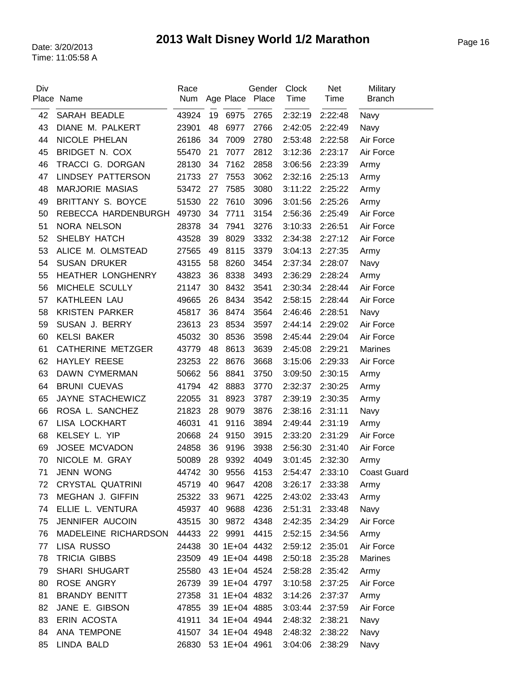| Div | Place Name               | Race<br>Num |    |      | Gender<br>Age Place Place | <b>Clock</b><br>Time | Net<br>Time | Military<br><b>Branch</b> |
|-----|--------------------------|-------------|----|------|---------------------------|----------------------|-------------|---------------------------|
| 42  | SARAH BEADLE             | 43924       | 19 | 6975 | 2765                      | 2:32:19              | 2:22:48     | Navy                      |
| 43  | DIANE M. PALKERT         | 23901       | 48 | 6977 | 2766                      | 2:42:05              | 2:22:49     | Navy                      |
| 44  | NICOLE PHELAN            | 26186       | 34 | 7009 | 2780                      | 2:53:48              | 2:22:58     | Air Force                 |
| 45  | BRIDGET N. COX           | 55470       | 21 | 7077 | 2812                      | 3:12:36              | 2:23:17     | Air Force                 |
| 46  | TRACCI G. DORGAN         | 28130       | 34 | 7162 | 2858                      | 3:06:56              | 2:23:39     | Army                      |
| 47  | LINDSEY PATTERSON        | 21733       | 27 | 7553 | 3062                      | 2:32:16              | 2:25:13     | Army                      |
| 48  | <b>MARJORIE MASIAS</b>   | 53472       | 27 | 7585 | 3080                      | 3:11:22              | 2:25:22     |                           |
| 49  | BRITTANY S. BOYCE        | 51530       | 22 | 7610 | 3096                      | 3:01:56              | 2:25:26     | Army                      |
|     | REBECCA HARDENBURGH      |             | 34 | 7711 |                           |                      |             | Army                      |
| 50  |                          | 49730       |    |      | 3154                      | 2:56:36              | 2:25:49     | Air Force                 |
| 51  | NORA NELSON              | 28378       | 34 | 7941 | 3276                      | 3:10:33              | 2:26:51     | Air Force                 |
| 52  | SHELBY HATCH             | 43528       | 39 | 8029 | 3332                      | 2:34:38              | 2:27:12     | Air Force                 |
| 53  | ALICE M. OLMSTEAD        | 27565       | 49 | 8115 | 3379                      | 3:04:13              | 2:27:35     | Army                      |
| 54  | <b>SUSAN DRUKER</b>      | 43155       | 58 | 8260 | 3454                      | 2:37:34              | 2:28:07     | Navy                      |
| 55  | HEATHER LONGHENRY        | 43823       | 36 | 8338 | 3493                      | 2:36:29              | 2:28:24     | Army                      |
| 56  | MICHELE SCULLY           | 21147       | 30 | 8432 | 3541                      | 2:30:34              | 2:28:44     | Air Force                 |
| 57  | KATHLEEN LAU             | 49665       | 26 | 8434 | 3542                      | 2:58:15              | 2:28:44     | Air Force                 |
| 58  | <b>KRISTEN PARKER</b>    | 45817       | 36 | 8474 | 3564                      | 2:46:46              | 2:28:51     | Navy                      |
| 59  | SUSAN J. BERRY           | 23613       | 23 | 8534 | 3597                      | 2:44:14              | 2:29:02     | Air Force                 |
| 60  | <b>KELSI BAKER</b>       | 45032       | 30 | 8536 | 3598                      | 2:45:44              | 2:29:04     | Air Force                 |
| 61  | <b>CATHERINE METZGER</b> | 43779       | 48 | 8613 | 3639                      | 2:45:08              | 2:29:21     | <b>Marines</b>            |
| 62  | <b>HAYLEY REESE</b>      | 23253       | 22 | 8676 | 3668                      | 3:15:06              | 2:29:33     | Air Force                 |
| 63  | DAWN CYMERMAN            | 50662       | 56 | 8841 | 3750                      | 3:09:50              | 2:30:15     | Army                      |
| 64  | <b>BRUNI CUEVAS</b>      | 41794       | 42 | 8883 | 3770                      | 2:32:37              | 2:30:25     | Army                      |
| 65  | JAYNE STACHEWICZ         | 22055       | 31 | 8923 | 3787                      | 2:39:19              | 2:30:35     | Army                      |
| 66  | ROSA L. SANCHEZ          | 21823       | 28 | 9079 | 3876                      | 2:38:16              | 2:31:11     | Navy                      |
| 67  | LISA LOCKHART            | 46031       | 41 | 9116 | 3894                      | 2:49:44              | 2:31:19     | Army                      |
| 68  | KELSEY L. YIP            | 20668       | 24 | 9150 | 3915                      | 2:33:20              | 2:31:29     | Air Force                 |
| 69  | JOSEE MCVADON            | 24858       | 36 | 9196 | 3938                      | 2:56:30              | 2:31:40     | Air Force                 |
| 70  | NICOLE M. GRAY           | 50089       | 28 | 9392 | 4049                      | 3:01:45              | 2:32:30     | Army                      |
| 71  | JENN WONG                | 44742       | 30 | 9556 | 4153                      | 2:54:47              | 2:33:10     | <b>Coast Guard</b>        |
| 72  | CRYSTAL QUATRINI         | 45719       | 40 | 9647 | 4208                      | 3:26:17              | 2:33:38     | Army                      |
| 73  | MEGHAN J. GIFFIN         | 25322       | 33 | 9671 | 4225                      | 2:43:02              | 2:33:43     | Army                      |
| 74  | ELLIE L. VENTURA         | 45937       | 40 | 9688 | 4236                      | 2:51:31              | 2:33:48     | Navy                      |
| 75  | JENNIFER AUCOIN          | 43515       | 30 | 9872 | 4348                      | 2:42:35              | 2:34:29     | Air Force                 |
| 76  | MADELEINE RICHARDSON     | 44433       | 22 | 9991 | 4415                      | 2:52:15              | 2:34:56     | Army                      |
| 77  | LISA RUSSO               | 24438       |    |      | 30 1E+04 4432             | 2:59:12              | 2:35:01     | Air Force                 |
| 78  | <b>TRICIA GIBBS</b>      | 23509       |    |      | 49 1E+04 4498             | 2:50:18              | 2:35:28     | <b>Marines</b>            |
| 79  | <b>SHARI SHUGART</b>     | 25580       |    |      | 43 1E+04 4524             | 2:58:28              | 2:35:42     | Army                      |
| 80  | ROSE ANGRY               | 26739       |    |      | 39 1E+04 4797             | 3:10:58              | 2:37:25     | Air Force                 |
| 81  | <b>BRANDY BENITT</b>     | 27358       |    |      | 31 1E+04 4832             | 3:14:26              | 2:37:37     | Army                      |
| 82  | JANE E. GIBSON           | 47855       |    |      | 39 1E+04 4885             | 3:03:44              | 2:37:59     | Air Force                 |
| 83  | ERIN ACOSTA              | 41911       |    |      | 34 1E+04 4944             | 2:48:32              | 2:38:21     | Navy                      |
| 84  | ANA TEMPONE              | 41507       |    |      | 34 1E+04 4948             | 2:48:32              | 2:38:22     | Navy                      |
| 85  | LINDA BALD               | 26830       |    |      | 53 1E+04 4961             | 3:04:06              | 2:38:29     | Navy                      |
|     |                          |             |    |      |                           |                      |             |                           |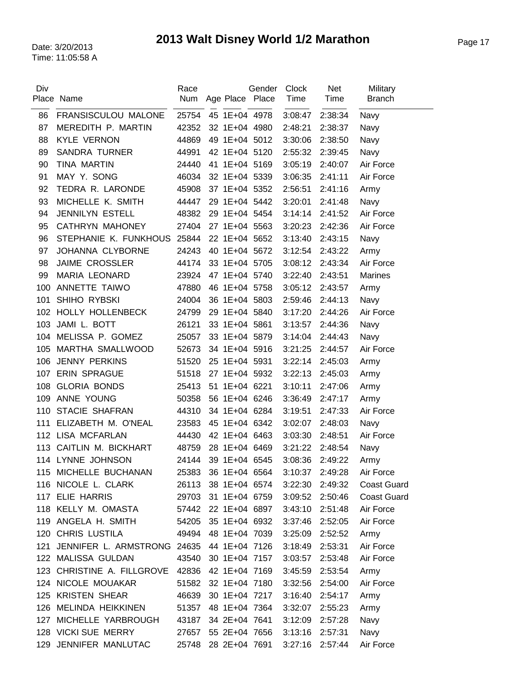| Div |                                           | Race  |                     | Gender | <b>Clock</b>    | <b>Net</b> | Military           |
|-----|-------------------------------------------|-------|---------------------|--------|-----------------|------------|--------------------|
|     | Place Name                                | Num   | Age Place Place     |        | Time            | Time       | <b>Branch</b>      |
| 86  | FRANSISCULOU MALONE                       | 25754 | 45 1E+04 4978       |        | 3:08:47         | 2:38:34    | Navy               |
| 87  | MEREDITH P. MARTIN                        | 42352 | 32 1E+04 4980       |        | 2:48:21         | 2:38:37    | Navy               |
| 88  | <b>KYLE VERNON</b>                        | 44869 | 49 1E+04 5012       |        | 3:30:06         | 2:38:50    | Navy               |
| 89  | <b>SANDRA TURNER</b>                      | 44991 | 42 1E+04 5120       |        | 2:55:32         | 2:39:45    | Navy               |
| 90  | <b>TINA MARTIN</b>                        | 24440 | 41 1E+04 5169       |        | 3:05:19         | 2:40:07    | Air Force          |
| 91  | MAY Y. SONG                               | 46034 | 32 1E+04 5339       |        | 3:06:35         | 2:41:11    | Air Force          |
| 92  | TEDRA R. LARONDE                          | 45908 | 37 1E+04 5352       |        | 2:56:51         | 2:41:16    | Army               |
| 93  | MICHELLE K. SMITH                         | 44447 | 29 1E+04 5442       |        | 3:20:01         | 2:41:48    | Navy               |
| 94  | <b>JENNILYN ESTELL</b>                    | 48382 | 29 1E+04 5454       |        | 3:14:14         | 2:41:52    | Air Force          |
| 95  | <b>CATHRYN MAHONEY</b>                    | 27404 | 27 1E+04 5563       |        | 3:20:23         | 2:42:36    | Air Force          |
| 96  | STEPHANIE K. FUNKHOUS 25844               |       | 22 1E+04 5652       |        | 3:13:40         | 2:43:15    | Navy               |
| 97  | JOHANNA CLYBORNE                          | 24243 | 40 1E+04 5672       |        | 3:12:54         | 2:43:22    | Army               |
| 98  | <b>JAIME CROSSLER</b>                     | 44174 | 33 1E+04 5705       |        | 3:08:12         | 2:43:34    | Air Force          |
| 99  | <b>MARIA LEONARD</b>                      | 23924 | 47 1E+04 5740       |        | 3:22:40         | 2:43:51    | <b>Marines</b>     |
| 100 | ANNETTE TAIWO                             | 47880 | 46 1E+04 5758       |        | 3:05:12         | 2:43:57    | Army               |
| 101 | <b>SHIHO RYBSKI</b>                       | 24004 | 36 1E+04 5803       |        | 2:59:46         | 2:44:13    | Navy               |
| 102 | HOLLY HOLLENBECK                          | 24799 | 29 1E+04 5840       |        | 3:17:20         | 2:44:26    | Air Force          |
| 103 | JAMI L. BOTT                              | 26121 | 33 1E+04 5861       |        | 3:13:57         | 2:44:36    | Navy               |
|     | 104 MELISSA P. GOMEZ                      | 25057 | 33 1E+04 5879       |        | 3:14:04         | 2:44:43    | Navy               |
| 105 | MARTHA SMALLWOOD                          | 52673 | 34 1E+04 5916       |        | 3:21:25         | 2:44:57    | Air Force          |
| 106 | <b>JENNY PERKINS</b>                      | 51520 | 25 1E+04 5931       |        | 3:22:14         | 2:45:03    | Army               |
| 107 | <b>ERIN SPRAGUE</b>                       | 51518 | 27 1E+04 5932       |        | 3:22:13         | 2:45:03    | Army               |
| 108 | <b>GLORIA BONDS</b>                       | 25413 | 51 1E+04 6221       |        | 3:10:11         | 2:47:06    | Army               |
| 109 | ANNE YOUNG                                | 50358 | 56 1E+04 6246       |        | 3:36:49         | 2:47:17    | Army               |
| 110 | <b>STACIE SHAFRAN</b>                     | 44310 | 34 1E+04 6284       |        | 3:19:51         | 2:47:33    | Air Force          |
| 111 | ELIZABETH M. O'NEAL                       | 23583 | 45 1E+04 6342       |        | 3:02:07         | 2:48:03    | Navy               |
|     | 112 LISA MCFARLAN                         | 44430 | 42 1E+04 6463       |        | 3:03:30         | 2:48:51    | Air Force          |
| 113 | CAITLIN M. BICKHART                       | 48759 | 28 1E+04 6469       |        | 3:21:22         | 2:48:54    | Navy               |
|     | 114 LYNNE JOHNSON                         | 24144 | 39 1E+04 6545       |        | 3:08:36         | 2:49:22    | Army               |
|     | 115 MICHELLE BUCHANAN                     | 25383 | 36 1E+04 6564       |        | 3:10:37         | 2:49:28    | Air Force          |
|     | 116 NICOLE L. CLARK                       | 26113 | 38 1E+04 6574       |        | 3:22:30         | 2:49:32    | <b>Coast Guard</b> |
|     | 117 ELIE HARRIS                           | 29703 | 31 1E+04 6759       |        | 3:09:52         | 2:50:46    | <b>Coast Guard</b> |
|     | 118 KELLY M. OMASTA                       | 57442 | 22 1E+04 6897       |        | 3:43:10         | 2:51:48    | Air Force          |
|     | 119 ANGELA H. SMITH                       |       | 54205 35 1E+04 6932 |        | 3:37:46         | 2:52:05    | Air Force          |
|     | 120 CHRIS LUSTILA                         | 49494 | 48 1E+04 7039       |        | 3:25:09         | 2:52:52    | Army               |
| 121 | JENNIFER L. ARMSTRONG 24635 44 1E+04 7126 |       |                     |        | 3:18:49         | 2:53:31    | Air Force          |
|     | 122 MALISSA GULDAN                        | 43540 | 30 1E+04 7157       |        | 3:03:57         | 2:53:48    | Air Force          |
|     | 123 CHRISTINE A. FILLGROVE 42836          |       | 42 1E+04 7169       |        | 3:45:59         | 2:53:54    | Army               |
|     | 124 NICOLE MOUAKAR                        |       | 51582 32 1E+04 7180 |        | 3:32:56         | 2:54:00    | Air Force          |
|     | 125 KRISTEN SHEAR                         | 46639 | 30 1E+04 7217       |        | 3:16:40         | 2:54:17    | Army               |
|     | 126 MELINDA HEIKKINEN                     | 51357 | 48 1E+04 7364       |        | 3:32:07         | 2:55:23    | Army               |
|     | 127 MICHELLE YARBROUGH                    | 43187 | 34 2E+04 7641       |        | 3:12:09         | 2:57:28    | Navy               |
|     | 128 VICKI SUE MERRY                       | 27657 | 55 2E+04 7656       |        | 3:13:16         | 2:57:31    | Navy               |
|     | 129 JENNIFER MANLUTAC                     | 25748 | 28 2E+04 7691       |        | 3:27:16 2:57:44 |            | Air Force          |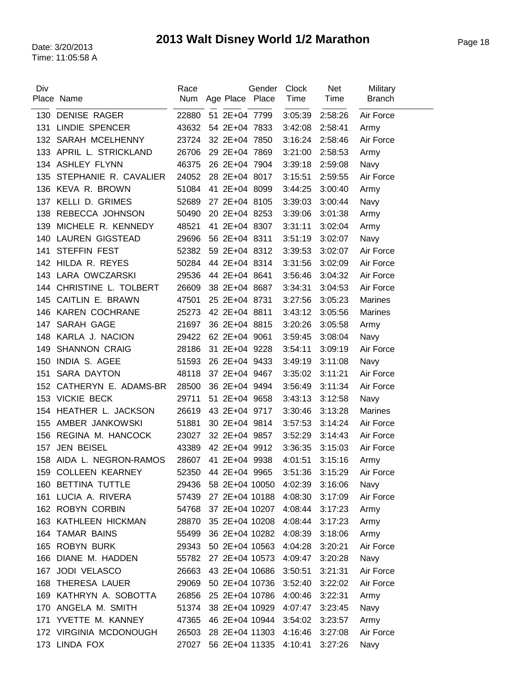| Div | Place Name                                   | Race<br>Num    | Age Place Place                | Gender | Clock<br>Time      | <b>Net</b><br>Time | Military<br><b>Branch</b> |
|-----|----------------------------------------------|----------------|--------------------------------|--------|--------------------|--------------------|---------------------------|
|     |                                              |                |                                |        |                    |                    |                           |
| 130 | <b>DENISE RAGER</b><br><b>LINDIE SPENCER</b> | 22880          | 51 2E+04 7799                  |        | 3:05:39            | 2:58:26            | Air Force                 |
| 131 | 132 SARAH MCELHENNY                          | 43632<br>23724 | 54 2E+04 7833<br>32 2E+04 7850 |        | 3:42:08<br>3:16:24 | 2:58:41            | Army                      |
|     | 133 APRIL L. STRICKLAND                      | 26706          | 29 2E+04 7869                  |        | 3:21:00            | 2:58:46<br>2:58:53 | Air Force                 |
|     | 134 ASHLEY FLYNN                             | 46375          | 26 2E+04 7904                  |        | 3:39:18            |                    | Army                      |
|     | STEPHANIE R. CAVALIER                        |                |                                |        |                    | 2:59:08            | Navy                      |
| 135 | 136 KEVA R. BROWN                            | 24052          | 28 2E+04 8017<br>41 2E+04 8099 |        | 3:15:51            | 2:59:55            | Air Force                 |
|     |                                              | 51084          |                                |        | 3:44:25            | 3:00:40            | Army                      |
| 137 | <b>KELLI D. GRIMES</b>                       | 52689          | 27 2E+04 8105                  |        | 3:39:03            | 3:00:44            | Navy                      |
| 138 | REBECCA JOHNSON                              | 50490          | 20 2E+04 8253                  |        | 3:39:06            | 3:01:38            | Army                      |
| 139 | MICHELE R. KENNEDY                           | 48521          | 41 2E+04 8307                  |        | 3:31:11            | 3:02:04            | Army                      |
| 140 | <b>LAUREN GIGSTEAD</b>                       | 29696          | 56 2E+04 8311                  |        | 3:51:19            | 3:02:07            | Navy                      |
| 141 | <b>STEFFIN FEST</b>                          | 52382          | 59 2E+04 8312                  |        | 3:39:53            | 3:02:07            | Air Force                 |
| 142 | HILDA R. REYES                               | 50284          | 44 2E+04 8314                  |        | 3:31:56            | 3:02:09            | Air Force                 |
| 143 | LARA OWCZARSKI                               | 29536          | 44 2E+04 8641                  |        | 3:56:46            | 3:04:32            | Air Force                 |
|     | 144 CHRISTINE L. TOLBERT                     | 26609          | 38 2E+04 8687                  |        | 3:34:31            | 3:04:53            | Air Force                 |
| 145 | CAITLIN E. BRAWN                             | 47501          | 25 2E+04 8731                  |        | 3:27:56            | 3:05:23            | <b>Marines</b>            |
| 146 | <b>KAREN COCHRANE</b>                        | 25273          | 42 2E+04 8811                  |        | 3:43:12            | 3:05:56            | <b>Marines</b>            |
| 147 | SARAH GAGE                                   | 21697          | 36 2E+04 8815                  |        | 3:20:26            | 3:05:58            | Army                      |
| 148 | KARLA J. NACION                              | 29422          | 62 2E+04 9061                  |        | 3:59:45            | 3:08:04            | Navy                      |
| 149 | <b>SHANNON CRAIG</b>                         | 28186          | 31 2E+04 9228                  |        | 3:54:11            | 3:09:19            | Air Force                 |
| 150 | INDIA S. AGEE                                | 51593          | 26 2E+04 9433                  |        | 3:49:19            | 3:11:08            | Navy                      |
| 151 | <b>SARA DAYTON</b>                           | 48118          | 37 2E+04 9467                  |        | 3:35:02            | 3:11:21            | Air Force                 |
| 152 | CATHERYN E. ADAMS-BR                         | 28500          | 36 2E+04 9494                  |        | 3:56:49            | 3:11:34            | Air Force                 |
| 153 | <b>VICKIE BECK</b>                           | 29711          | 51 2E+04 9658                  |        | 3:43:13            | 3:12:58            | Navy                      |
| 154 | HEATHER L. JACKSON                           | 26619          | 43 2E+04 9717                  |        | 3:30:46            | 3:13:28            | <b>Marines</b>            |
| 155 | AMBER JANKOWSKI                              | 51881          | 30 2E+04 9814                  |        | 3:57:53            | 3:14:24            | Air Force                 |
| 156 | REGINA M. HANCOCK                            | 23027          | 32 2E+04 9857                  |        | 3:52:29            | 3:14:43            | Air Force                 |
| 157 | <b>JEN BEISEL</b>                            | 43389          | 42 2E+04 9912                  |        | 3:36:35            | 3:15:03            | Air Force                 |
|     | 158 AIDA L. NEGRON-RAMOS                     | 28607          | 41 2E+04 9938                  |        | 4:01:51            | 3:15:16            | Army                      |
|     | 159 COLLEEN KEARNEY                          | 52350          | 44 2E+04 9965                  |        | 3:51:36            | 3:15:29            | Air Force                 |
| 160 | <b>BETTINA TUTTLE</b>                        | 29436          | 58 2E+04 10050                 |        | 4:02:39            | 3:16:06            | Navy                      |
| 161 | LUCIA A. RIVERA                              | 57439          | 27 2E+04 10188                 |        | 4:08:30            | 3:17:09            | Air Force                 |
|     | 162 ROBYN CORBIN                             | 54768          | 37 2E+04 10207                 |        | 4:08:44            | 3:17:23            | Army                      |
|     | 163 KATHLEEN HICKMAN                         | 28870          | 35 2E+04 10208                 |        | 4:08:44            | 3:17:23            | Army                      |
|     | 164 TAMAR BAINS                              | 55499          | 36 2E+04 10282                 |        | 4:08:39            | 3:18:06            | Army                      |
| 165 | <b>ROBYN BURK</b>                            | 29343          | 50 2E+04 10563                 |        | 4:04:28            | 3:20:21            | Air Force                 |
| 166 | DIANE M. HADDEN                              | 55782          | 27 2E+04 10573                 |        | 4:09:47            | 3:20:28            | Navy                      |
| 167 | <b>JODI VELASCO</b>                          | 26663          | 43 2E+04 10686                 |        | 3:50:51            | 3:21:31            | Air Force                 |
|     | 168 THERESA LAUER                            | 29069          | 50 2E+04 10736                 |        | 3:52:40            | 3:22:02            | Air Force                 |
|     | 169 KATHRYN A. SOBOTTA                       | 26856          | 25 2E+04 10786                 |        | 4:00:46            | 3:22:31            | Army                      |
| 170 | ANGELA M. SMITH                              | 51374          | 38 2E+04 10929                 |        | 4:07:47            | 3:23:45            | Navy                      |
| 171 | YVETTE M. KANNEY                             | 47365          | 46 2E+04 10944                 |        | 3:54:02            | 3:23:57            | Army                      |
|     | 172 VIRGINIA MCDONOUGH                       | 26503          | 28 2E+04 11303                 |        | 4:16:46            | 3:27:08            | Air Force                 |
|     | 173 LINDA FOX                                | 27027          | 56 2E+04 11335                 |        | 4:10:41            | 3:27:26            | Navy                      |
|     |                                              |                |                                |        |                    |                    |                           |